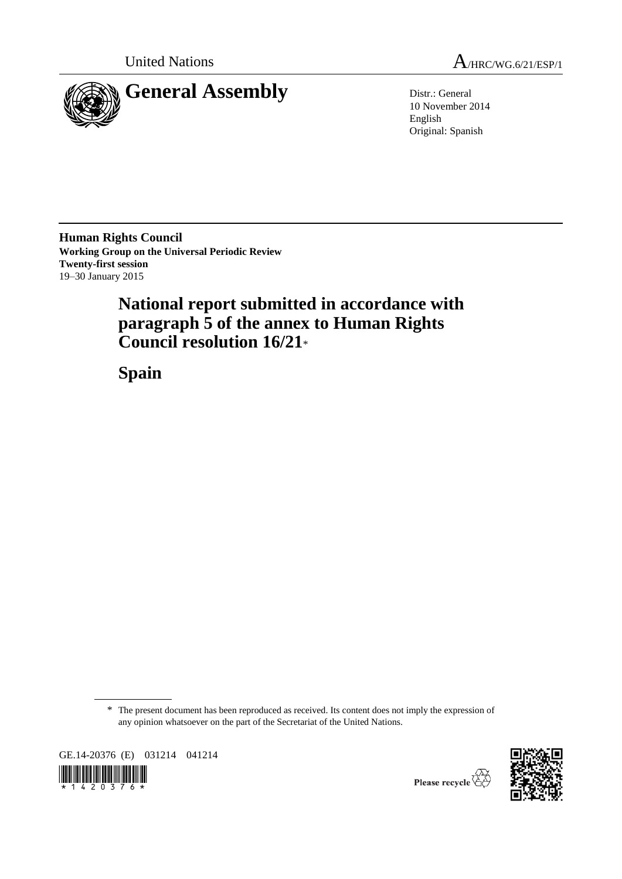

United Nations  $A_{HRC/WG.6/21/ESP/1}$ 

10 November 2014 English Original: Spanish

**Human Rights Council Working Group on the Universal Periodic Review Twenty-first session** 19–30 January 2015

# **National report submitted in accordance with paragraph 5 of the annex to Human Rights Council resolution 16/21**\*

**Spain**

\* The present document has been reproduced as received. Its content does not imply the expression of any opinion whatsoever on the part of the Secretariat of the United Nations.

GE.14-20376 (E) 031214 041214





Please recycle  $\overleftrightarrow{C}$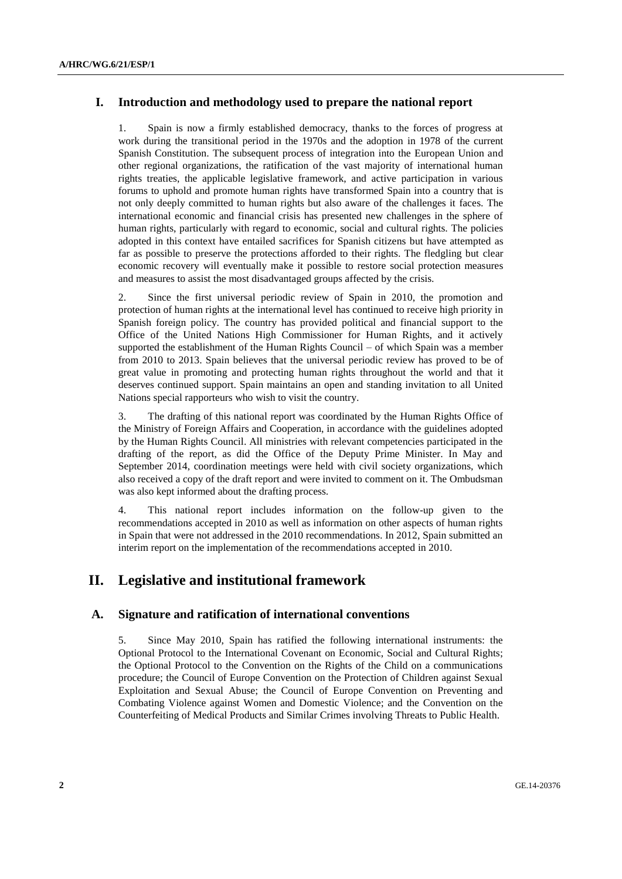# **I. Introduction and methodology used to prepare the national report**

1. Spain is now a firmly established democracy, thanks to the forces of progress at work during the transitional period in the 1970s and the adoption in 1978 of the current Spanish Constitution. The subsequent process of integration into the European Union and other regional organizations, the ratification of the vast majority of international human rights treaties, the applicable legislative framework, and active participation in various forums to uphold and promote human rights have transformed Spain into a country that is not only deeply committed to human rights but also aware of the challenges it faces. The international economic and financial crisis has presented new challenges in the sphere of human rights, particularly with regard to economic, social and cultural rights. The policies adopted in this context have entailed sacrifices for Spanish citizens but have attempted as far as possible to preserve the protections afforded to their rights. The fledgling but clear economic recovery will eventually make it possible to restore social protection measures and measures to assist the most disadvantaged groups affected by the crisis.

2. Since the first universal periodic review of Spain in 2010, the promotion and protection of human rights at the international level has continued to receive high priority in Spanish foreign policy. The country has provided political and financial support to the Office of the United Nations High Commissioner for Human Rights, and it actively supported the establishment of the Human Rights Council – of which Spain was a member from 2010 to 2013. Spain believes that the universal periodic review has proved to be of great value in promoting and protecting human rights throughout the world and that it deserves continued support. Spain maintains an open and standing invitation to all United Nations special rapporteurs who wish to visit the country.

3. The drafting of this national report was coordinated by the Human Rights Office of the Ministry of Foreign Affairs and Cooperation, in accordance with the guidelines adopted by the Human Rights Council. All ministries with relevant competencies participated in the drafting of the report, as did the Office of the Deputy Prime Minister. In May and September 2014, coordination meetings were held with civil society organizations, which also received a copy of the draft report and were invited to comment on it. The Ombudsman was also kept informed about the drafting process.

4. This national report includes information on the follow-up given to the recommendations accepted in 2010 as well as information on other aspects of human rights in Spain that were not addressed in the 2010 recommendations. In 2012, Spain submitted an interim report on the implementation of the recommendations accepted in 2010.

# **II. Legislative and institutional framework**

# **A. Signature and ratification of international conventions**

5. Since May 2010, Spain has ratified the following international instruments: the Optional Protocol to the International Covenant on Economic, Social and Cultural Rights; the Optional Protocol to the Convention on the Rights of the Child on a communications procedure; the Council of Europe Convention on the Protection of Children against Sexual Exploitation and Sexual Abuse; the Council of Europe Convention on Preventing and Combating Violence against Women and Domestic Violence; and the Convention on the Counterfeiting of Medical Products and Similar Crimes involving Threats to Public Health.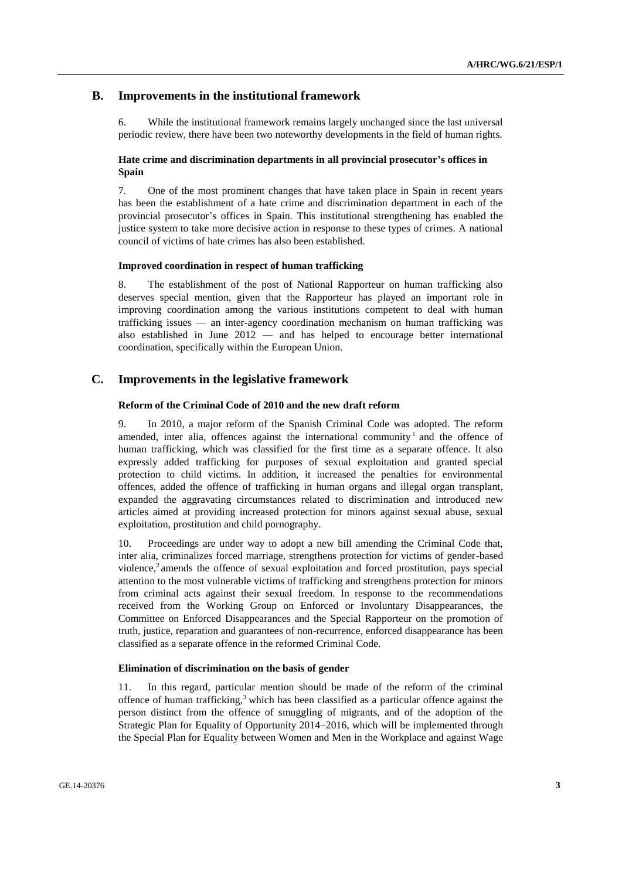# **B. Improvements in the institutional framework**

6. While the institutional framework remains largely unchanged since the last universal periodic review, there have been two noteworthy developments in the field of human rights.

# **Hate crime and discrimination departments in all provincial prosecutor's offices in Spain**

7. One of the most prominent changes that have taken place in Spain in recent years has been the establishment of a hate crime and discrimination department in each of the provincial prosecutor's offices in Spain. This institutional strengthening has enabled the justice system to take more decisive action in response to these types of crimes. A national council of victims of hate crimes has also been established.

#### **Improved coordination in respect of human trafficking**

8. The establishment of the post of National Rapporteur on human trafficking also deserves special mention, given that the Rapporteur has played an important role in improving coordination among the various institutions competent to deal with human trafficking issues — an inter-agency coordination mechanism on human trafficking was also established in June 2012 — and has helped to encourage better international coordination, specifically within the European Union.

# **C. Improvements in the legislative framework**

### **Reform of the Criminal Code of 2010 and the new draft reform**

9. In 2010, a major reform of the Spanish Criminal Code was adopted. The reform amended, inter alia, offences against the international community<sup>1</sup> and the offence of human trafficking, which was classified for the first time as a separate offence. It also expressly added trafficking for purposes of sexual exploitation and granted special protection to child victims. In addition, it increased the penalties for environmental offences, added the offence of trafficking in human organs and illegal organ transplant, expanded the aggravating circumstances related to discrimination and introduced new articles aimed at providing increased protection for minors against sexual abuse, sexual exploitation, prostitution and child pornography.

10. Proceedings are under way to adopt a new bill amending the Criminal Code that, inter alia, criminalizes forced marriage, strengthens protection for victims of gender-based violence,<sup>2</sup> amends the offence of sexual exploitation and forced prostitution, pays special attention to the most vulnerable victims of trafficking and strengthens protection for minors from criminal acts against their sexual freedom. In response to the recommendations received from the Working Group on Enforced or Involuntary Disappearances, the Committee on Enforced Disappearances and the Special Rapporteur on the promotion of truth, justice, reparation and guarantees of non-recurrence, enforced disappearance has been classified as a separate offence in the reformed Criminal Code.

### **Elimination of discrimination on the basis of gender**

11. In this regard, particular mention should be made of the reform of the criminal offence of human trafficking, $3$  which has been classified as a particular offence against the person distinct from the offence of smuggling of migrants, and of the adoption of the Strategic Plan for Equality of Opportunity 2014–2016, which will be implemented through the Special Plan for Equality between Women and Men in the Workplace and against Wage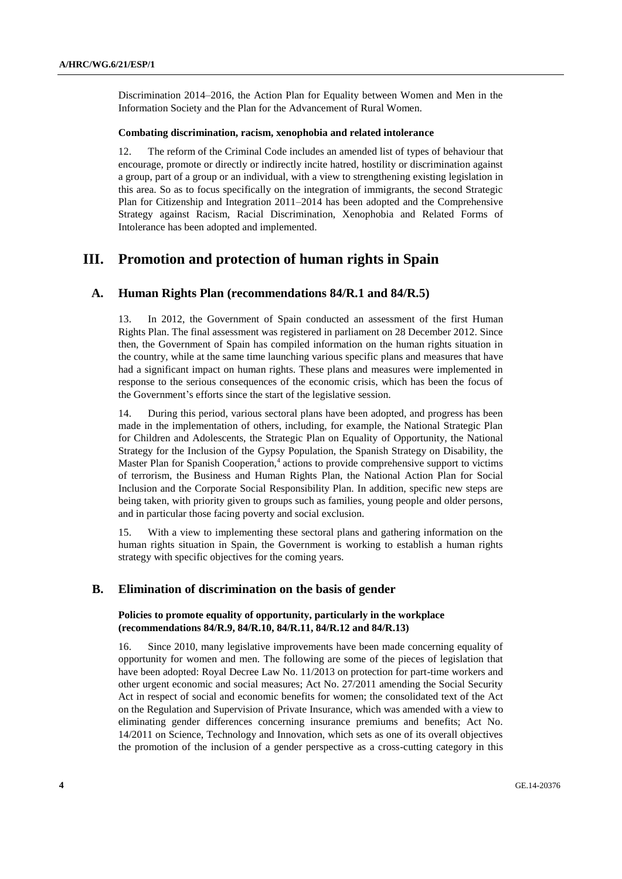Discrimination 2014–2016, the Action Plan for Equality between Women and Men in the Information Society and the Plan for the Advancement of Rural Women.

#### **Combating discrimination, racism, xenophobia and related intolerance**

12. The reform of the Criminal Code includes an amended list of types of behaviour that encourage, promote or directly or indirectly incite hatred, hostility or discrimination against a group, part of a group or an individual, with a view to strengthening existing legislation in this area. So as to focus specifically on the integration of immigrants, the second Strategic Plan for Citizenship and Integration 2011–2014 has been adopted and the Comprehensive Strategy against Racism, Racial Discrimination, Xenophobia and Related Forms of Intolerance has been adopted and implemented.

# **III. Promotion and protection of human rights in Spain**

# **A. Human Rights Plan (recommendations 84/R.1 and 84/R.5)**

13. In 2012, the Government of Spain conducted an assessment of the first Human Rights Plan. The final assessment was registered in parliament on 28 December 2012. Since then, the Government of Spain has compiled information on the human rights situation in the country, while at the same time launching various specific plans and measures that have had a significant impact on human rights. These plans and measures were implemented in response to the serious consequences of the economic crisis, which has been the focus of the Government's efforts since the start of the legislative session.

14. During this period, various sectoral plans have been adopted, and progress has been made in the implementation of others, including, for example, the National Strategic Plan for Children and Adolescents, the Strategic Plan on Equality of Opportunity, the National Strategy for the Inclusion of the Gypsy Population, the Spanish Strategy on Disability, the Master Plan for Spanish Cooperation,<sup>4</sup> actions to provide comprehensive support to victims of terrorism, the Business and Human Rights Plan, the National Action Plan for Social Inclusion and the Corporate Social Responsibility Plan. In addition, specific new steps are being taken, with priority given to groups such as families, young people and older persons, and in particular those facing poverty and social exclusion.

15. With a view to implementing these sectoral plans and gathering information on the human rights situation in Spain, the Government is working to establish a human rights strategy with specific objectives for the coming years.

# **B. Elimination of discrimination on the basis of gender**

### **Policies to promote equality of opportunity, particularly in the workplace (recommendations 84/R.9, 84/R.10, 84/R.11, 84/R.12 and 84/R.13)**

16. Since 2010, many legislative improvements have been made concerning equality of opportunity for women and men. The following are some of the pieces of legislation that have been adopted: Royal Decree Law No. 11/2013 on protection for part-time workers and other urgent economic and social measures; Act No. 27/2011 amending the Social Security Act in respect of social and economic benefits for women; the consolidated text of the Act on the Regulation and Supervision of Private Insurance, which was amended with a view to eliminating gender differences concerning insurance premiums and benefits; Act No. 14/2011 on Science, Technology and Innovation, which sets as one of its overall objectives the promotion of the inclusion of a gender perspective as a cross-cutting category in this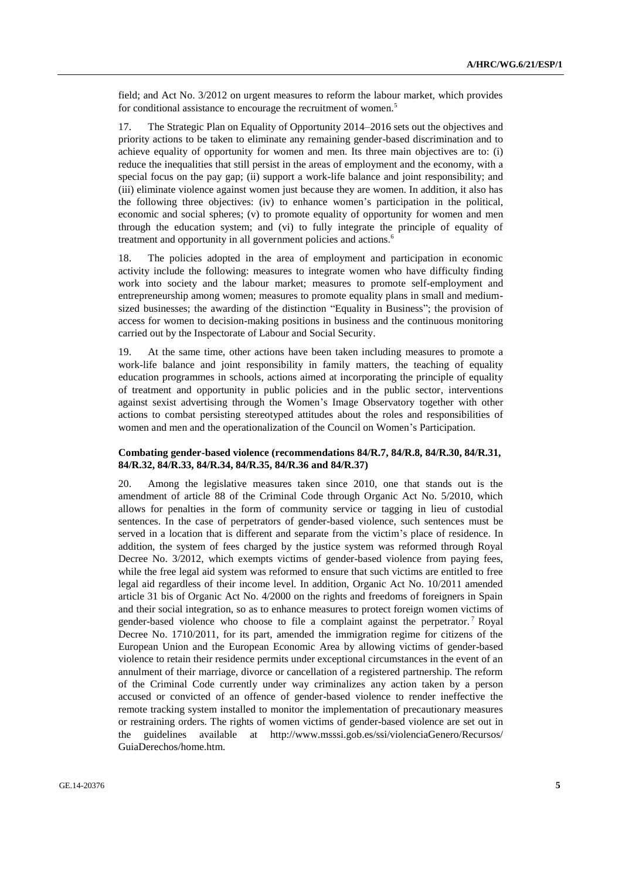field; and Act No. 3/2012 on urgent measures to reform the labour market, which provides for conditional assistance to encourage the recruitment of women.<sup>5</sup>

17. The Strategic Plan on Equality of Opportunity 2014–2016 sets out the objectives and priority actions to be taken to eliminate any remaining gender-based discrimination and to achieve equality of opportunity for women and men. Its three main objectives are to: (i) reduce the inequalities that still persist in the areas of employment and the economy, with a special focus on the pay gap; (ii) support a work-life balance and joint responsibility; and (iii) eliminate violence against women just because they are women. In addition, it also has the following three objectives: (iv) to enhance women's participation in the political, economic and social spheres; (v) to promote equality of opportunity for women and men through the education system; and (vi) to fully integrate the principle of equality of treatment and opportunity in all government policies and actions.<sup>6</sup>

18. The policies adopted in the area of employment and participation in economic activity include the following: measures to integrate women who have difficulty finding work into society and the labour market; measures to promote self-employment and entrepreneurship among women; measures to promote equality plans in small and mediumsized businesses; the awarding of the distinction "Equality in Business"; the provision of access for women to decision-making positions in business and the continuous monitoring carried out by the Inspectorate of Labour and Social Security.

19. At the same time, other actions have been taken including measures to promote a work-life balance and joint responsibility in family matters, the teaching of equality education programmes in schools, actions aimed at incorporating the principle of equality of treatment and opportunity in public policies and in the public sector, interventions against sexist advertising through the Women's Image Observatory together with other actions to combat persisting stereotyped attitudes about the roles and responsibilities of women and men and the operationalization of the Council on Women's Participation.

### **Combating gender-based violence (recommendations 84/R.7, 84/R.8, 84/R.30, 84/R.31, 84/R.32, 84/R.33, 84/R.34, 84/R.35, 84/R.36 and 84/R.37)**

20. Among the legislative measures taken since 2010, one that stands out is the amendment of article 88 of the Criminal Code through Organic Act No. 5/2010, which allows for penalties in the form of community service or tagging in lieu of custodial sentences. In the case of perpetrators of gender-based violence, such sentences must be served in a location that is different and separate from the victim's place of residence. In addition, the system of fees charged by the justice system was reformed through Royal Decree No. 3/2012, which exempts victims of gender-based violence from paying fees, while the free legal aid system was reformed to ensure that such victims are entitled to free legal aid regardless of their income level. In addition, Organic Act No. 10/2011 amended article 31 bis of Organic Act No. 4/2000 on the rights and freedoms of foreigners in Spain and their social integration, so as to enhance measures to protect foreign women victims of gender-based violence who choose to file a complaint against the perpetrator. <sup>7</sup> Royal Decree No. 1710/2011, for its part, amended the immigration regime for citizens of the European Union and the European Economic Area by allowing victims of gender-based violence to retain their residence permits under exceptional circumstances in the event of an annulment of their marriage, divorce or cancellation of a registered partnership. The reform of the Criminal Code currently under way criminalizes any action taken by a person accused or convicted of an offence of gender-based violence to render ineffective the remote tracking system installed to monitor the implementation of precautionary measures or restraining orders. The rights of women victims of gender-based violence are set out in the guidelines available at http://www.msssi.gob.es/ssi/violenciaGenero/Recursos/ GuiaDerechos/home.htm.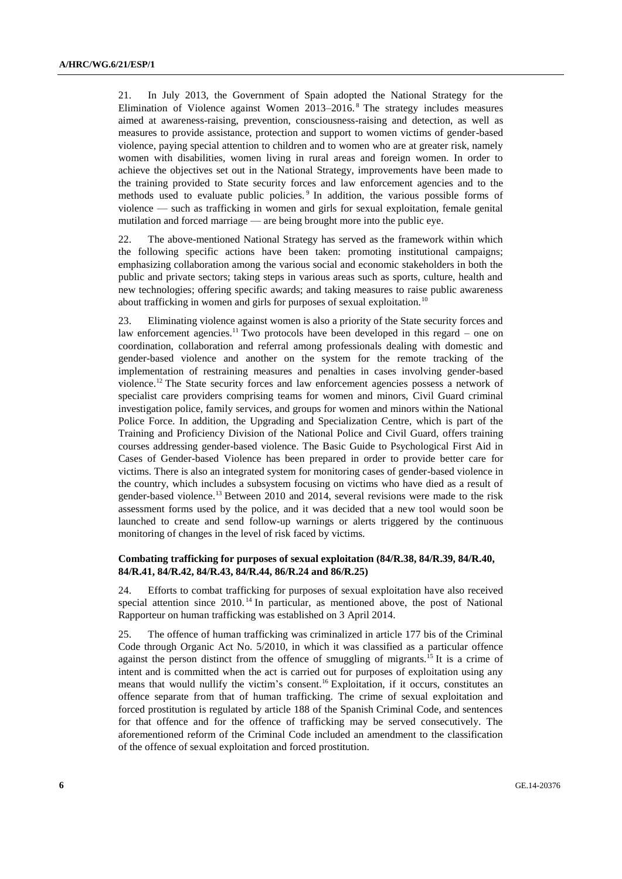21. In July 2013, the Government of Spain adopted the National Strategy for the Elimination of Violence against Women 2013–2016. <sup>8</sup> The strategy includes measures aimed at awareness-raising, prevention, consciousness-raising and detection, as well as measures to provide assistance, protection and support to women victims of gender-based violence, paying special attention to children and to women who are at greater risk, namely women with disabilities, women living in rural areas and foreign women. In order to achieve the objectives set out in the National Strategy, improvements have been made to the training provided to State security forces and law enforcement agencies and to the methods used to evaluate public policies.<sup>9</sup> In addition, the various possible forms of violence — such as trafficking in women and girls for sexual exploitation, female genital mutilation and forced marriage — are being brought more into the public eye.

22. The above-mentioned National Strategy has served as the framework within which the following specific actions have been taken: promoting institutional campaigns; emphasizing collaboration among the various social and economic stakeholders in both the public and private sectors; taking steps in various areas such as sports, culture, health and new technologies; offering specific awards; and taking measures to raise public awareness about trafficking in women and girls for purposes of sexual exploitation.<sup>10</sup>

23. Eliminating violence against women is also a priority of the State security forces and law enforcement agencies.<sup>11</sup> Two protocols have been developed in this regard – one on coordination, collaboration and referral among professionals dealing with domestic and gender-based violence and another on the system for the remote tracking of the implementation of restraining measures and penalties in cases involving gender-based violence.<sup>12</sup> The State security forces and law enforcement agencies possess a network of specialist care providers comprising teams for women and minors, Civil Guard criminal investigation police, family services, and groups for women and minors within the National Police Force. In addition, the Upgrading and Specialization Centre, which is part of the Training and Proficiency Division of the National Police and Civil Guard, offers training courses addressing gender-based violence. The Basic Guide to Psychological First Aid in Cases of Gender-based Violence has been prepared in order to provide better care for victims. There is also an integrated system for monitoring cases of gender-based violence in the country, which includes a subsystem focusing on victims who have died as a result of gender-based violence.<sup>13</sup> Between 2010 and 2014, several revisions were made to the risk assessment forms used by the police, and it was decided that a new tool would soon be launched to create and send follow-up warnings or alerts triggered by the continuous monitoring of changes in the level of risk faced by victims.

### **Combating trafficking for purposes of sexual exploitation (84/R.38, 84/R.39, 84/R.40, 84/R.41, 84/R.42, 84/R.43, 84/R.44, 86/R.24 and 86/R.25)**

24. Efforts to combat trafficking for purposes of sexual exploitation have also received special attention since 2010.<sup>14</sup> In particular, as mentioned above, the post of National Rapporteur on human trafficking was established on 3 April 2014.

25. The offence of human trafficking was criminalized in article 177 bis of the Criminal Code through Organic Act No. 5/2010, in which it was classified as a particular offence against the person distinct from the offence of smuggling of migrants.<sup>15</sup> It is a crime of intent and is committed when the act is carried out for purposes of exploitation using any means that would nullify the victim's consent.<sup>16</sup> Exploitation, if it occurs, constitutes an offence separate from that of human trafficking. The crime of sexual exploitation and forced prostitution is regulated by article 188 of the Spanish Criminal Code, and sentences for that offence and for the offence of trafficking may be served consecutively. The aforementioned reform of the Criminal Code included an amendment to the classification of the offence of sexual exploitation and forced prostitution.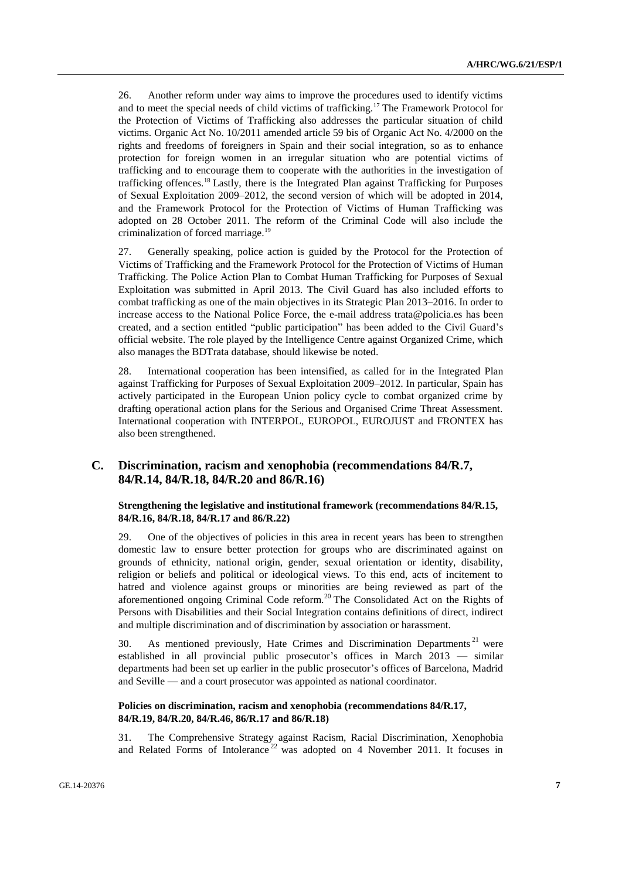26. Another reform under way aims to improve the procedures used to identify victims and to meet the special needs of child victims of trafficking.<sup>17</sup> The Framework Protocol for the Protection of Victims of Trafficking also addresses the particular situation of child victims. Organic Act No. 10/2011 amended article 59 bis of Organic Act No. 4/2000 on the rights and freedoms of foreigners in Spain and their social integration, so as to enhance protection for foreign women in an irregular situation who are potential victims of trafficking and to encourage them to cooperate with the authorities in the investigation of trafficking offences.<sup>18</sup> Lastly, there is the Integrated Plan against Trafficking for Purposes of Sexual Exploitation 2009–2012, the second version of which will be adopted in 2014, and the Framework Protocol for the Protection of Victims of Human Trafficking was adopted on 28 October 2011. The reform of the Criminal Code will also include the criminalization of forced marriage.<sup>19</sup>

27. Generally speaking, police action is guided by the Protocol for the Protection of Victims of Trafficking and the Framework Protocol for the Protection of Victims of Human Trafficking. The Police Action Plan to Combat Human Trafficking for Purposes of Sexual Exploitation was submitted in April 2013. The Civil Guard has also included efforts to combat trafficking as one of the main objectives in its Strategic Plan 2013–2016. In order to increase access to the National Police Force, the e-mail address trata@policia.es has been created, and a section entitled "public participation" has been added to the Civil Guard's official website. The role played by the Intelligence Centre against Organized Crime, which also manages the BDTrata database, should likewise be noted.

28. International cooperation has been intensified, as called for in the Integrated Plan against Trafficking for Purposes of Sexual Exploitation 2009–2012. In particular, Spain has actively participated in the European Union policy cycle to combat organized crime by drafting operational action plans for the Serious and Organised Crime Threat Assessment. International cooperation with INTERPOL, EUROPOL, EUROJUST and FRONTEX has also been strengthened.

# **C. Discrimination, racism and xenophobia (recommendations 84/R.7, 84/R.14, 84/R.18, 84/R.20 and 86/R.16)**

### **Strengthening the legislative and institutional framework (recommendations 84/R.15, 84/R.16, 84/R.18, 84/R.17 and 86/R.22)**

29. One of the objectives of policies in this area in recent years has been to strengthen domestic law to ensure better protection for groups who are discriminated against on grounds of ethnicity, national origin, gender, sexual orientation or identity, disability, religion or beliefs and political or ideological views. To this end, acts of incitement to hatred and violence against groups or minorities are being reviewed as part of the aforementioned ongoing Criminal Code reform.<sup>20</sup> The Consolidated Act on the Rights of Persons with Disabilities and their Social Integration contains definitions of direct, indirect and multiple discrimination and of discrimination by association or harassment.

30. As mentioned previously, Hate Crimes and Discrimination Departments<sup>21</sup> were established in all provincial public prosecutor's offices in March 2013 — similar departments had been set up earlier in the public prosecutor's offices of Barcelona, Madrid and Seville — and a court prosecutor was appointed as national coordinator.

### **Policies on discrimination, racism and xenophobia (recommendations 84/R.17, 84/R.19, 84/R.20, 84/R.46, 86/R.17 and 86/R.18)**

31. The Comprehensive Strategy against Racism, Racial Discrimination, Xenophobia and Related Forms of Intolerance<sup>22</sup> was adopted on 4 November 2011. It focuses in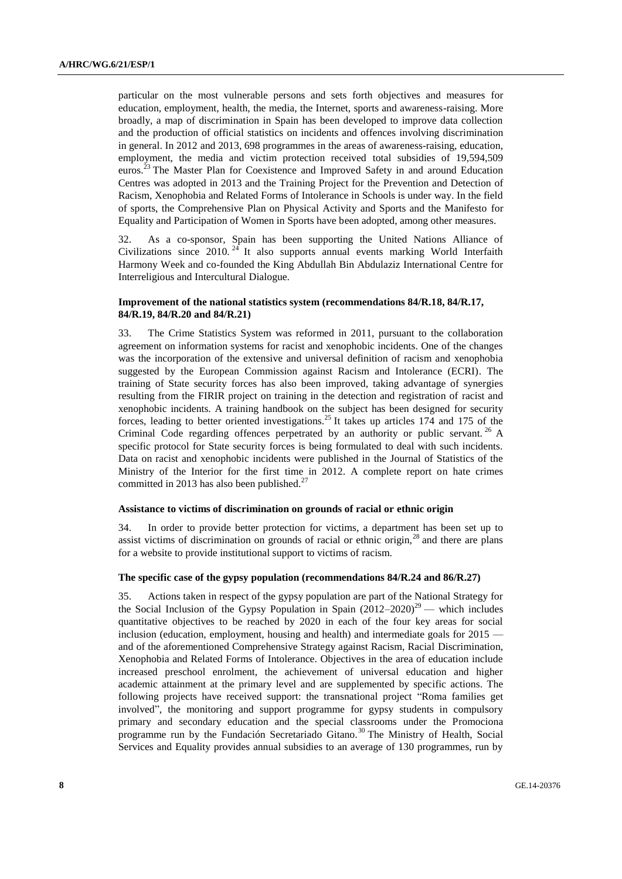particular on the most vulnerable persons and sets forth objectives and measures for education, employment, health, the media, the Internet, sports and awareness-raising. More broadly, a map of discrimination in Spain has been developed to improve data collection and the production of official statistics on incidents and offences involving discrimination in general. In 2012 and 2013, 698 programmes in the areas of awareness-raising, education, employment, the media and victim protection received total subsidies of 19,594,509 euros.<sup>23</sup> The Master Plan for Coexistence and Improved Safety in and around Education Centres was adopted in 2013 and the Training Project for the Prevention and Detection of Racism, Xenophobia and Related Forms of Intolerance in Schools is under way. In the field of sports, the Comprehensive Plan on Physical Activity and Sports and the Manifesto for Equality and Participation of Women in Sports have been adopted, among other measures.

32. As a co-sponsor, Spain has been supporting the United Nations Alliance of Civilizations since  $2010$ <sup>24</sup> It also supports annual events marking World Interfaith Harmony Week and co-founded the King Abdullah Bin Abdulaziz International Centre for Interreligious and Intercultural Dialogue.

# **Improvement of the national statistics system (recommendations 84/R.18, 84/R.17, 84/R.19, 84/R.20 and 84/R.21)**

33. The Crime Statistics System was reformed in 2011, pursuant to the collaboration agreement on information systems for racist and xenophobic incidents. One of the changes was the incorporation of the extensive and universal definition of racism and xenophobia suggested by the [European Commission against Racism and Intolerance \(ECRI\).](http://www.coe.int/t/dghl/monitoring/ecri/default_en.asp) The training of State security forces has also been improved, taking advantage of synergies resulting from the FIRIR project on training in the detection and registration of racist and xenophobic incidents. A training handbook on the subject has been designed for security forces, leading to better oriented investigations.<sup>25</sup> It takes up articles  $174$  and  $175$  of the Criminal Code regarding offences perpetrated by an authority or public servant.  $^{26}$  A specific protocol for State security forces is being formulated to deal with such incidents. Data on racist and xenophobic incidents were published in the Journal of Statistics of the Ministry of the Interior for the first time in 2012. A complete report on hate crimes committed in 2013 has also been published. $27$ 

#### **Assistance to victims of discrimination on grounds of racial or ethnic origin**

34. In order to provide better protection for victims, a department has been set up to assist victims of discrimination on grounds of racial or ethnic origin, $^{28}$  and there are plans for a website to provide institutional support to victims of racism.

### **The specific case of the gypsy population (recommendations 84/R.24 and 86/R.27)**

35. Actions taken in respect of the gypsy population are part of the National Strategy for the Social Inclusion of the Gypsy Population in Spain  $(2012-2020)^{29}$  — which includes quantitative objectives to be reached by 2020 in each of the four key areas for social inclusion (education, employment, housing and health) and intermediate goals for 2015 and of the aforementioned Comprehensive Strategy against Racism, Racial Discrimination, Xenophobia and Related Forms of Intolerance. Objectives in the area of education include increased preschool enrolment, the achievement of universal education and higher academic attainment at the primary level and are supplemented by specific actions. The following projects have received support: the transnational project "Roma families get involved", the monitoring and support programme for gypsy students in compulsory primary and secondary education and the special classrooms under the Promociona programme run by the Fundación Secretariado Gitano.<sup>30</sup> The Ministry of Health, Social Services and Equality provides annual subsidies to an average of 130 programmes, run by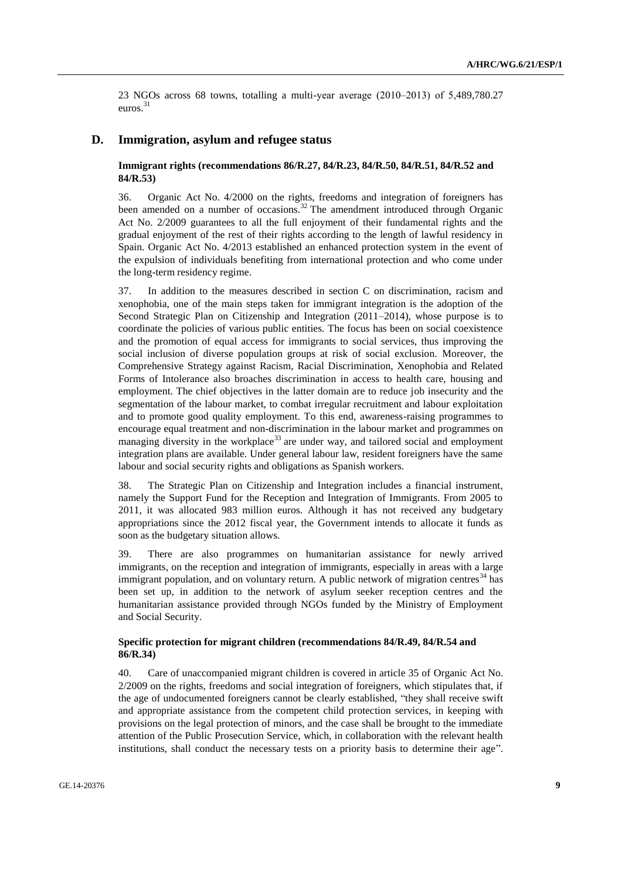23 NGOs across 68 towns, totalling a multi-year average  $(2010-2013)$  of 5,489,780.27 euros.<sup>31</sup>

# **D. Immigration, asylum and refugee status**

# **Immigrant rights (recommendations 86/R.27, 84/R.23, 84/R.50, 84/R.51, 84/R.52 and 84/R.53)**

36. Organic Act No. 4/2000 on the rights, freedoms and integration of foreigners has been amended on a number of occasions.<sup>32</sup> The amendment introduced through Organic Act No. 2/2009 guarantees to all the full enjoyment of their fundamental rights and the gradual enjoyment of the rest of their rights according to the length of lawful residency in Spain. Organic Act No. 4/2013 established an enhanced protection system in the event of the expulsion of individuals benefiting from international protection and who come under the long-term residency regime.

37. In addition to the measures described in section C on discrimination, racism and xenophobia, one of the main steps taken for immigrant integration is the adoption of the Second Strategic Plan on Citizenship and Integration (2011–2014), whose purpose is to coordinate the policies of various public entities. The focus has been on social coexistence and the promotion of equal access for immigrants to social services, thus improving the social inclusion of diverse population groups at risk of social exclusion. Moreover, the Comprehensive Strategy against Racism, Racial Discrimination, Xenophobia and Related Forms of Intolerance also broaches discrimination in access to health care, housing and employment. The chief objectives in the latter domain are to reduce job insecurity and the segmentation of the labour market, to combat irregular recruitment and labour exploitation and to promote good quality employment. To this end, awareness-raising programmes to encourage equal treatment and non-discrimination in the labour market and programmes on managing diversity in the workplace<sup>33</sup> are under way, and tailored social and employment integration plans are available. Under general labour law, resident foreigners have the same labour and social security rights and obligations as Spanish workers.

38. The Strategic Plan on Citizenship and Integration includes a financial instrument, namely the Support Fund for the Reception and Integration of Immigrants. From 2005 to 2011, it was allocated 983 million euros. Although it has not received any budgetary appropriations since the 2012 fiscal year, the Government intends to allocate it funds as soon as the budgetary situation allows.

39. There are also programmes on humanitarian assistance for newly arrived immigrants, on the reception and integration of immigrants, especially in areas with a large immigrant population, and on voluntary return. A public network of migration centres<sup>34</sup> has been set up, in addition to the network of asylum seeker reception centres and the humanitarian assistance provided through NGOs funded by the Ministry of Employment and Social Security.

# **Specific protection for migrant children (recommendations 84/R.49, 84/R.54 and 86/R.34)**

40. Care of unaccompanied migrant children is covered in article 35 of Organic Act No. 2/2009 on the rights, freedoms and social integration of foreigners, which stipulates that, if the age of undocumented foreigners cannot be clearly established, "they shall receive swift and appropriate assistance from the competent child protection services, in keeping with provisions on the legal protection of minors, and the case shall be brought to the immediate attention of the Public Prosecution Service, which, in collaboration with the relevant health institutions, shall conduct the necessary tests on a priority basis to determine their age".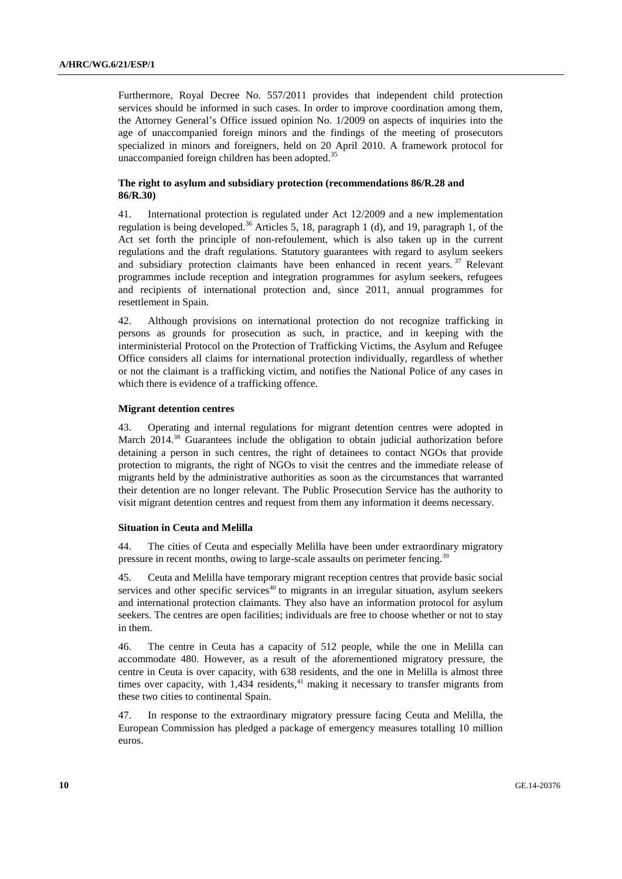Furthermore, Royal Decree No. 557/2011 provides that independent child protection services should be informed in such cases. In order to improve coordination among them, the Attorney General's Office issued opinion No. 1/2009 on aspects of inquiries into the age of unaccompanied foreign minors and the findings of the meeting of prosecutors specialized in minors and foreigners, held on 20 April 2010. A framework protocol for unaccompanied foreign children has been adopted.<sup>35</sup>

# **The right to asylum and subsidiary protection (recommendations 86/R.28 and 86/R.30)**

41. International protection is regulated under Act 12/2009 and a new implementation regulation is being developed.<sup>36</sup> Articles 5, 18, paragraph 1 (d), and 19, paragraph 1, of the Act set forth the principle of non-refoulement, which is also taken up in the current regulations and the draft regulations. Statutory guarantees with regard to asylum seekers and subsidiary protection claimants have been enhanced in recent years.  $37$  Relevant programmes include reception and integration programmes for asylum seekers, refugees and recipients of international protection and, since 2011, annual programmes for resettlement in Spain.

42. Although provisions on international protection do not recognize trafficking in persons as grounds for prosecution as such, in practice, and in keeping with the interministerial Protocol on the Protection of Trafficking Victims, the Asylum and Refugee Office considers all claims for international protection individually, regardless of whether or not the claimant is a trafficking victim, and notifies the National Police of any cases in which there is evidence of a trafficking offence.

### **Migrant detention centres**

43. Operating and internal regulations for migrant detention centres were adopted in March 2014.<sup>38</sup> Guarantees include the obligation to obtain judicial authorization before detaining a person in such centres, the right of detainees to contact NGOs that provide protection to migrants, the right of NGOs to visit the centres and the immediate release of migrants held by the administrative authorities as soon as the circumstances that warranted their detention are no longer relevant. The Public Prosecution Service has the authority to visit migrant detention centres and request from them any information it deems necessary.

#### **Situation in Ceuta and Melilla**

44. The cities of Ceuta and especially Melilla have been under extraordinary migratory pressure in recent months, owing to large-scale assaults on perimeter fencing.<sup>39</sup>

45. Ceuta and Melilla have temporary migrant reception centres that provide basic social services and other specific services<sup>40</sup> to migrants in an irregular situation, asylum seekers and international protection claimants. They also have an information protocol for asylum seekers. The centres are open facilities; individuals are free to choose whether or not to stay in them.

46. The centre in Ceuta has a capacity of 512 people, while the one in Melilla can accommodate 480. However, as a result of the aforementioned migratory pressure, the centre in Ceuta is over capacity, with 638 residents, and the one in Melilla is almost three times over capacity, with 1,434 residents,<sup>41</sup> making it necessary to transfer migrants from these two cities to continental Spain.

47. In response to the extraordinary migratory pressure facing Ceuta and Melilla, the European Commission has pledged a package of emergency measures totalling 10 million euros.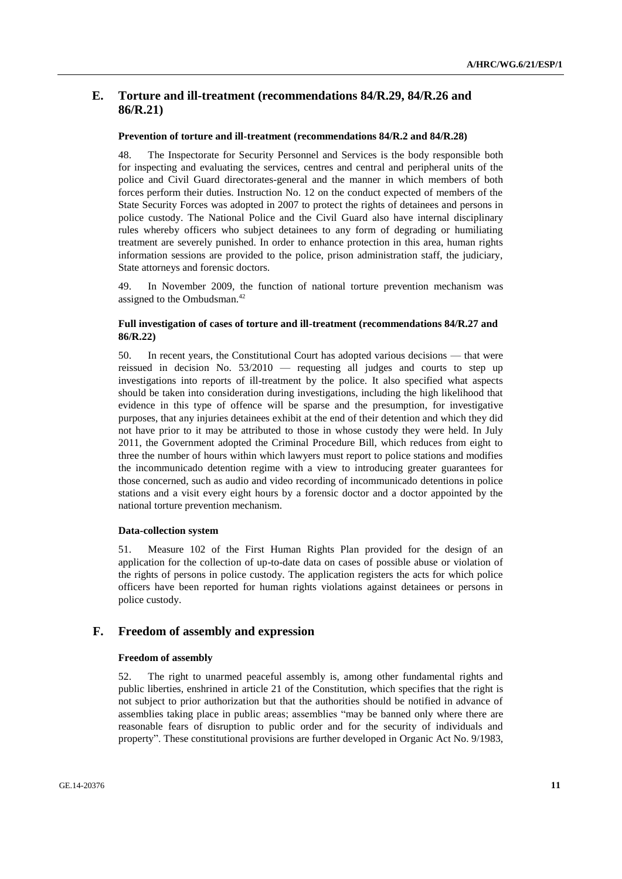# **E. Torture and ill-treatment (recommendations 84/R.29, 84/R.26 and 86/R.21)**

#### **Prevention of torture and ill-treatment (recommendations 84/R.2 and 84/R.28)**

48. The Inspectorate for Security Personnel and Services is the body responsible both for inspecting and evaluating the services, centres and central and peripheral units of the police and Civil Guard directorates-general and the manner in which members of both forces perform their duties. Instruction No. 12 on the conduct expected of members of the State Security Forces was adopted in 2007 to protect the rights of detainees and persons in police custody. The National Police and the Civil Guard also have internal disciplinary rules whereby officers who subject detainees to any form of degrading or humiliating treatment are severely punished. In order to enhance protection in this area, human rights information sessions are provided to the police, prison administration staff, the judiciary, State attorneys and forensic doctors.

49. In November 2009, the function of national torture prevention mechanism was assigned to the Ombudsman.<sup>42</sup>

### **Full investigation of cases of torture and ill-treatment (recommendations 84/R.27 and 86/R.22)**

50. In recent years, the Constitutional Court has adopted various decisions — that were reissued in decision No. 53/2010 — requesting all judges and courts to step up investigations into reports of ill-treatment by the police. It also specified what aspects should be taken into consideration during investigations, including the high likelihood that evidence in this type of offence will be sparse and the presumption, for investigative purposes, that any injuries detainees exhibit at the end of their detention and which they did not have prior to it may be attributed to those in whose custody they were held. In July 2011, the Government adopted the Criminal Procedure Bill, which reduces from eight to three the number of hours within which lawyers must report to police stations and modifies the incommunicado detention regime with a view to introducing greater guarantees for those concerned, such as audio and video recording of incommunicado detentions in police stations and a visit every eight hours by a forensic doctor and a doctor appointed by the national torture prevention mechanism.

#### **Data-collection system**

51. Measure 102 of the First Human Rights Plan provided for the design of an application for the collection of up-to-date data on cases of possible abuse or violation of the rights of persons in police custody. The application registers the acts for which police officers have been reported for human rights violations against detainees or persons in police custody.

#### **F. Freedom of assembly and expression**

#### **Freedom of assembly**

52. The right to unarmed peaceful assembly is, among other fundamental rights and public liberties, enshrined in article 21 of the Constitution, which specifies that the right is not subject to prior authorization but that the authorities should be notified in advance of assemblies taking place in public areas; assemblies "may be banned only where there are reasonable fears of disruption to public order and for the security of individuals and property". These constitutional provisions are further developed in Organic Act No. 9/1983,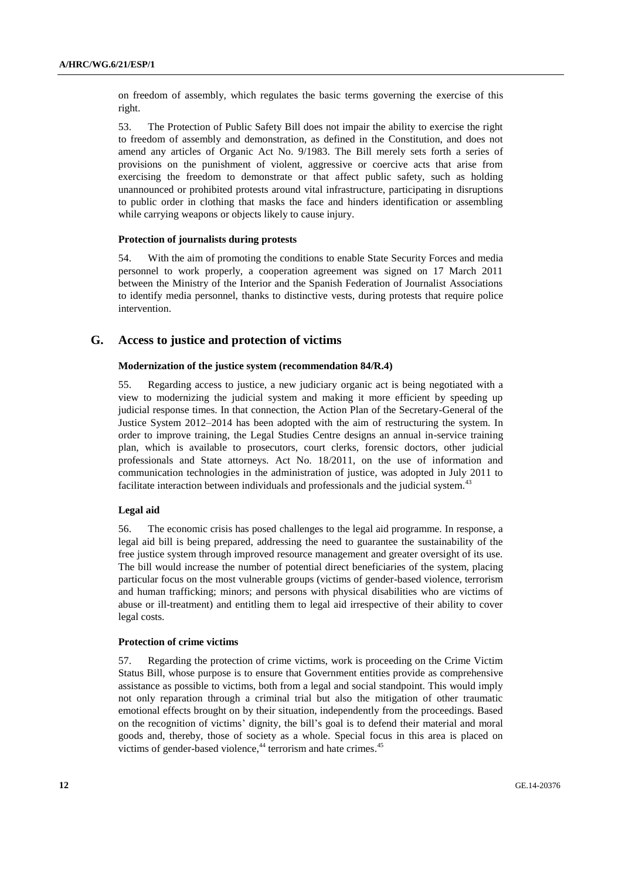on freedom of assembly, which regulates the basic terms governing the exercise of this right.

53. The Protection of Public Safety Bill does not impair the ability to exercise the right to freedom of assembly and demonstration, as defined in the Constitution, and does not amend any articles of Organic Act No. 9/1983. The Bill merely sets forth a series of provisions on the punishment of violent, aggressive or coercive acts that arise from exercising the freedom to demonstrate or that affect public safety, such as holding unannounced or prohibited protests around vital infrastructure, participating in disruptions to public order in clothing that masks the face and hinders identification or assembling while carrying weapons or objects likely to cause injury.

#### **Protection of journalists during protests**

54. With the aim of promoting the conditions to enable State Security Forces and media personnel to work properly, a cooperation agreement was signed on 17 March 2011 between the Ministry of the Interior and the Spanish Federation of Journalist Associations to identify media personnel, thanks to distinctive vests, during protests that require police intervention.

# **G. Access to justice and protection of victims**

#### **Modernization of the justice system (recommendation 84/R.4)**

55. Regarding access to justice, a new judiciary organic act is being negotiated with a view to modernizing the judicial system and making it more efficient by speeding up judicial response times. In that connection, the Action Plan of the Secretary-General of the Justice System 2012–2014 has been adopted with the aim of restructuring the system. In order to improve training, the Legal Studies Centre designs an annual in-service training plan, which is available to prosecutors, court clerks, forensic doctors, other judicial professionals and State attorneys. Act No. 18/2011, on the use of information and communication technologies in the administration of justice, was adopted in July 2011 to facilitate interaction between individuals and professionals and the judicial system.<sup>43</sup>

#### **Legal aid**

56. The economic crisis has posed challenges to the legal aid programme. In response, a legal aid bill is being prepared, addressing the need to guarantee the sustainability of the free justice system through improved resource management and greater oversight of its use. The bill would increase the number of potential direct beneficiaries of the system, placing particular focus on the most vulnerable groups (victims of gender-based violence, terrorism and human trafficking; minors; and persons with physical disabilities who are victims of abuse or ill-treatment) and entitling them to legal aid irrespective of their ability to cover legal costs.

#### **Protection of crime victims**

57. Regarding the protection of crime victims, work is proceeding on the Crime Victim Status Bill, whose purpose is to ensure that Government entities provide as comprehensive assistance as possible to victims, both from a legal and social standpoint. This would imply not only reparation through a criminal trial but also the mitigation of other traumatic emotional effects brought on by their situation, independently from the proceedings. Based on the recognition of victims' dignity, the bill's goal is to defend their material and moral goods and, thereby, those of society as a whole. Special focus in this area is placed on victims of gender-based violence,<sup>44</sup> terrorism and hate crimes.<sup>45</sup>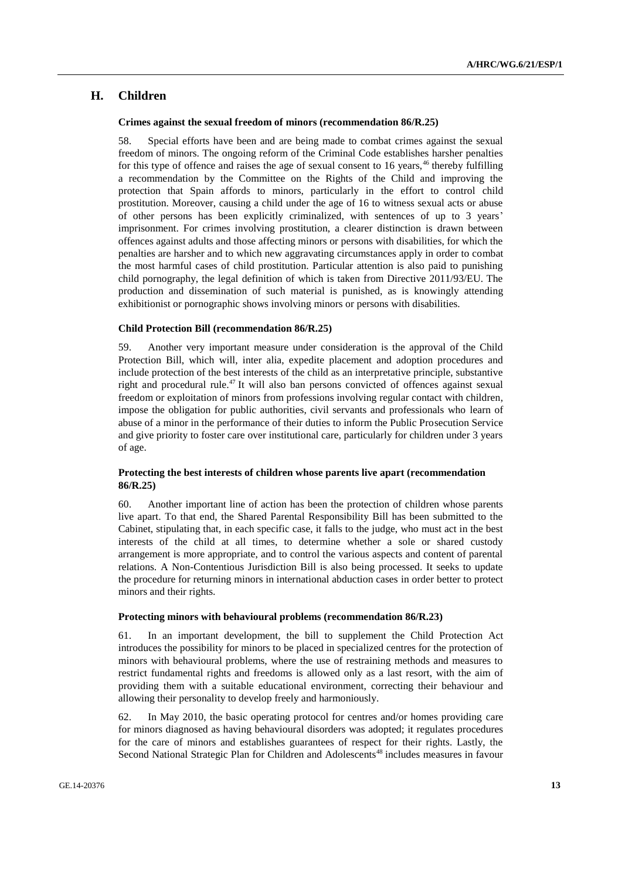# **H. Children**

#### **Crimes against the sexual freedom of minors (recommendation 86/R.25)**

58. Special efforts have been and are being made to combat crimes against the sexual freedom of minors. The ongoing reform of the Criminal Code establishes harsher penalties for this type of offence and raises the age of sexual consent to 16 years, $46$  thereby fulfilling a recommendation by the Committee on the Rights of the Child and improving the protection that Spain affords to minors, particularly in the effort to control child prostitution. Moreover, causing a child under the age of 16 to witness sexual acts or abuse of other persons has been explicitly criminalized, with sentences of up to 3 years' imprisonment. For crimes involving prostitution, a clearer distinction is drawn between offences against adults and those affecting minors or persons with disabilities, for which the penalties are harsher and to which new aggravating circumstances apply in order to combat the most harmful cases of child prostitution. Particular attention is also paid to punishing child pornography, the legal definition of which is taken from Directive 2011/93/EU. The production and dissemination of such material is punished, as is knowingly attending exhibitionist or pornographic shows involving minors or persons with disabilities.

### **Child Protection Bill (recommendation 86/R.25)**

59. Another very important measure under consideration is the approval of the Child Protection Bill, which will, inter alia, expedite placement and adoption procedures and include protection of the best interests of the child as an interpretative principle, substantive right and procedural rule.<sup>47</sup> It will also ban persons convicted of offences against sexual freedom or exploitation of minors from professions involving regular contact with children, impose the obligation for public authorities, civil servants and professionals who learn of abuse of a minor in the performance of their duties to inform the Public Prosecution Service and give priority to foster care over institutional care, particularly for children under 3 years of age.

# **Protecting the best interests of children whose parents live apart (recommendation 86/R.25)**

60. Another important line of action has been the protection of children whose parents live apart. To that end, the Shared Parental Responsibility Bill has been submitted to the Cabinet, stipulating that, in each specific case, it falls to the judge, who must act in the best interests of the child at all times, to determine whether a sole or shared custody arrangement is more appropriate, and to control the various aspects and content of parental relations. A Non-Contentious Jurisdiction Bill is also being processed. It seeks to update the procedure for returning minors in international abduction cases in order better to protect minors and their rights.

#### **Protecting minors with behavioural problems (recommendation 86/R.23)**

61. In an important development, the bill to supplement the Child Protection Act introduces the possibility for minors to be placed in specialized centres for the protection of minors with behavioural problems, where the use of restraining methods and measures to restrict fundamental rights and freedoms is allowed only as a last resort, with the aim of providing them with a suitable educational environment, correcting their behaviour and allowing their personality to develop freely and harmoniously.

62. In May 2010, the basic operating protocol for centres and/or homes providing care for minors diagnosed as having behavioural disorders was adopted; it regulates procedures for the care of minors and establishes guarantees of respect for their rights. Lastly, the Second National Strategic Plan for Children and Adolescents<sup>48</sup> includes measures in favour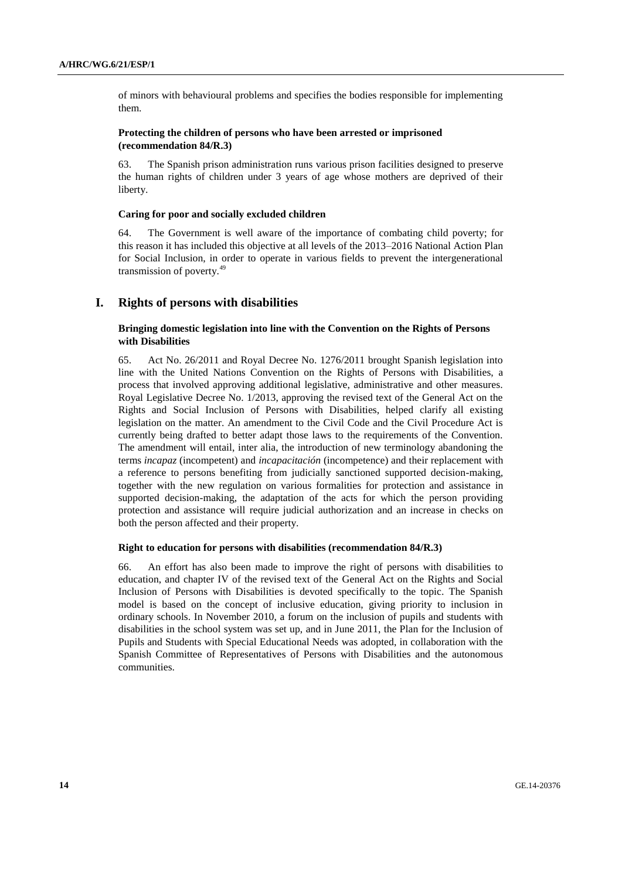of minors with behavioural problems and specifies the bodies responsible for implementing them.

# **Protecting the children of persons who have been arrested or imprisoned (recommendation 84/R.3)**

63. The Spanish prison administration runs various prison facilities designed to preserve the human rights of children under 3 years of age whose mothers are deprived of their liberty.

### **Caring for poor and socially excluded children**

64. The Government is well aware of the importance of combating child poverty; for this reason it has included this objective at all levels of the 2013–2016 National Action Plan for Social Inclusion, in order to operate in various fields to prevent the intergenerational transmission of poverty.<sup>49</sup>

# **I. Rights of persons with disabilities**

# **Bringing domestic legislation into line with the Convention on the Rights of Persons with Disabilities**

65. Act No. 26/2011 and Royal Decree No. 1276/2011 brought Spanish legislation into line with the United Nations Convention on the Rights of Persons with Disabilities, a process that involved approving additional legislative, administrative and other measures. Royal Legislative Decree No. 1/2013, approving the revised text of the General Act on the Rights and Social Inclusion of Persons with Disabilities, helped clarify all existing legislation on the matter. An amendment to the Civil Code and the Civil Procedure Act is currently being drafted to better adapt those laws to the requirements of the Convention. The amendment will entail, inter alia, the introduction of new terminology abandoning the terms *incapaz* (incompetent) and *incapacitación* (incompetence) and their replacement with a reference to persons benefiting from judicially sanctioned supported decision-making, together with the new regulation on various formalities for protection and assistance in supported decision-making, the adaptation of the acts for which the person providing protection and assistance will require judicial authorization and an increase in checks on both the person affected and their property.

#### **Right to education for persons with disabilities (recommendation 84/R.3)**

66. An effort has also been made to improve the right of persons with disabilities to education, and chapter IV of the revised text of the General Act on the Rights and Social Inclusion of Persons with Disabilities is devoted specifically to the topic. The Spanish model is based on the concept of inclusive education, giving priority to inclusion in ordinary schools. In November 2010, a forum on the inclusion of pupils and students with disabilities in the school system was set up, and in June 2011, the Plan for the Inclusion of Pupils and Students with Special Educational Needs was adopted, in collaboration with the Spanish Committee of Representatives of Persons with Disabilities and the autonomous communities.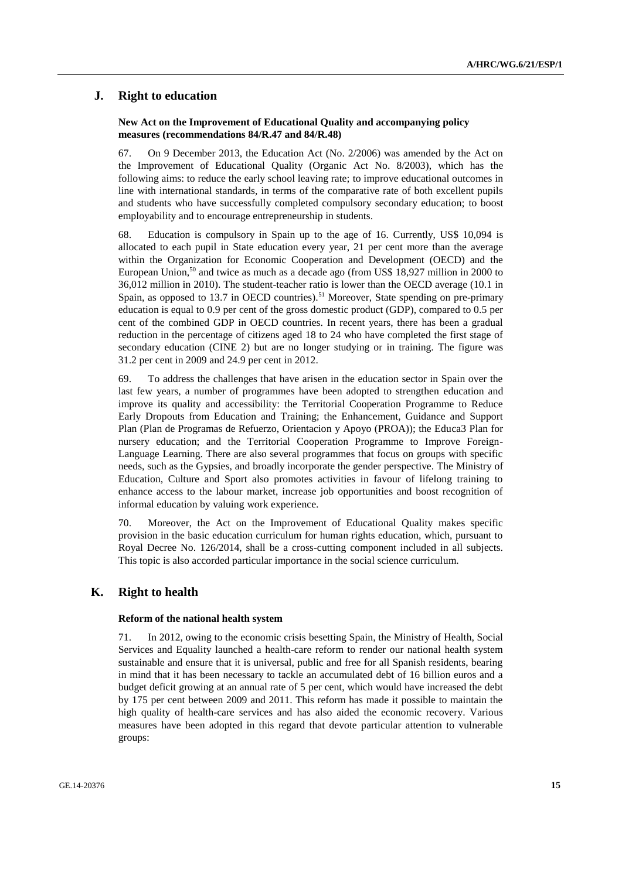# **J. Right to education**

### **New Act on the Improvement of Educational Quality and accompanying policy measures (recommendations 84/R.47 and 84/R.48)**

67. On 9 December 2013, the Education Act (No. 2/2006) was amended by the Act on the Improvement of Educational Quality (Organic Act No. 8/2003), which has the following aims: to reduce the early school leaving rate; to improve educational outcomes in line with international standards, in terms of the comparative rate of both excellent pupils and students who have successfully completed compulsory secondary education; to boost employability and to encourage entrepreneurship in students.

68. Education is compulsory in Spain up to the age of 16. Currently, US\$ 10,094 is allocated to each pupil in State education every year, 21 per cent more than the average within the Organization for Economic Cooperation and Development (OECD) and the European Union, $50$  and twice as much as a decade ago (from US\$ 18,927 million in 2000 to 36,012 million in 2010). The student-teacher ratio is lower than the OECD average (10.1 in Spain, as opposed to 13.7 in OECD countries).<sup>51</sup> Moreover, State spending on pre-primary education is equal to 0.9 per cent of the gross domestic product (GDP), compared to 0.5 per cent of the combined GDP in OECD countries. In recent years, there has been a gradual reduction in the percentage of citizens aged 18 to 24 who have completed the first stage of secondary education (CINE 2) but are no longer studying or in training. The figure was 31.2 per cent in 2009 and 24.9 per cent in 2012.

69. To address the challenges that have arisen in the education sector in Spain over the last few years, a number of programmes have been adopted to strengthen education and improve its quality and accessibility: the Territorial Cooperation Programme to Reduce Early Dropouts from Education and Training; the Enhancement, Guidance and Support Plan (Plan de Programas de Refuerzo, Orientacion y Apoyo (PROA)); the Educa3 Plan for nursery education; and the Territorial Cooperation Programme to Improve Foreign-Language Learning. There are also several programmes that focus on groups with specific needs, such as the Gypsies, and broadly incorporate the gender perspective. The Ministry of Education, Culture and Sport also promotes activities in favour of lifelong training to enhance access to the labour market, increase job opportunities and boost recognition of informal education by valuing work experience.

70. Moreover, the Act on the Improvement of Educational Quality makes specific provision in the basic education curriculum for human rights education, which, pursuant to Royal Decree No. 126/2014, shall be a cross-cutting component included in all subjects. This topic is also accorded particular importance in the social science curriculum.

# **K. Right to health**

#### **Reform of the national health system**

71. In 2012, owing to the economic crisis besetting Spain, the Ministry of Health, Social Services and Equality launched a health-care reform to render our national health system sustainable and ensure that it is universal, public and free for all Spanish residents, bearing in mind that it has been necessary to tackle an accumulated debt of 16 billion euros and a budget deficit growing at an annual rate of 5 per cent, which would have increased the debt by 175 per cent between 2009 and 2011. This reform has made it possible to maintain the high quality of health-care services and has also aided the economic recovery. Various measures have been adopted in this regard that devote particular attention to vulnerable groups: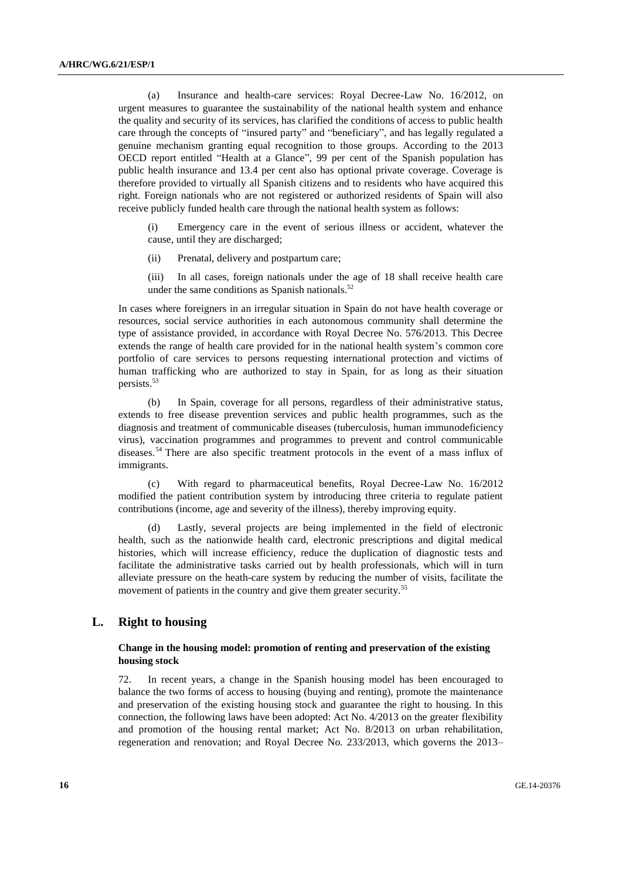(a) Insurance and health-care services: Royal Decree-Law No. 16/2012, on urgent measures to guarantee the sustainability of the national health system and enhance the quality and security of its services, has clarified the conditions of access to public health care through the concepts of "insured party" and "beneficiary", and has legally regulated a genuine mechanism granting equal recognition to those groups. According to the 2013 OECD report entitled "Health at a Glance", 99 per cent of the Spanish population has public health insurance and 13.4 per cent also has optional private coverage. Coverage is therefore provided to virtually all Spanish citizens and to residents who have acquired this right. Foreign nationals who are not registered or authorized residents of Spain will also receive publicly funded health care through the national health system as follows:

(i) Emergency care in the event of serious illness or accident, whatever the cause, until they are discharged;

(ii) Prenatal, delivery and postpartum care;

(iii) In all cases, foreign nationals under the age of 18 shall receive health care under the same conditions as Spanish nationals. $52$ 

In cases where foreigners in an irregular situation in Spain do not have health coverage or resources, social service authorities in each autonomous community shall determine the type of assistance provided, in accordance with Royal Decree No. 576/2013. This Decree extends the range of health care provided for in the national health system's common core portfolio of care services to persons requesting international protection and victims of human trafficking who are authorized to stay in Spain, for as long as their situation persists.<sup>53</sup>

(b) In Spain, coverage for all persons, regardless of their administrative status, extends to free disease prevention services and public health programmes, such as the diagnosis and treatment of communicable diseases (tuberculosis, human immunodeficiency virus), vaccination programmes and programmes to prevent and control communicable diseases.<sup>54</sup> There are also specific treatment protocols in the event of a mass influx of immigrants.

(c) With regard to pharmaceutical benefits, Royal Decree-Law No. 16/2012 modified the patient contribution system by introducing three criteria to regulate patient contributions (income, age and severity of the illness), thereby improving equity.

(d) Lastly, several projects are being implemented in the field of electronic health, such as the nationwide health card, electronic prescriptions and digital medical histories, which will increase efficiency, reduce the duplication of diagnostic tests and facilitate the administrative tasks carried out by health professionals, which will in turn alleviate pressure on the heath-care system by reducing the number of visits, facilitate the movement of patients in the country and give them greater security.<sup>55</sup>

# **L. Right to housing**

# **Change in the housing model: promotion of renting and preservation of the existing housing stock**

72. In recent years, a change in the Spanish housing model has been encouraged to balance the two forms of access to housing (buying and renting), promote the maintenance and preservation of the existing housing stock and guarantee the right to housing. In this connection, the following laws have been adopted: Act No. 4/2013 on the greater flexibility and promotion of the housing rental market; Act No. 8/2013 on urban rehabilitation, regeneration and renovation; and Royal Decree No. 233/2013, which governs the 2013–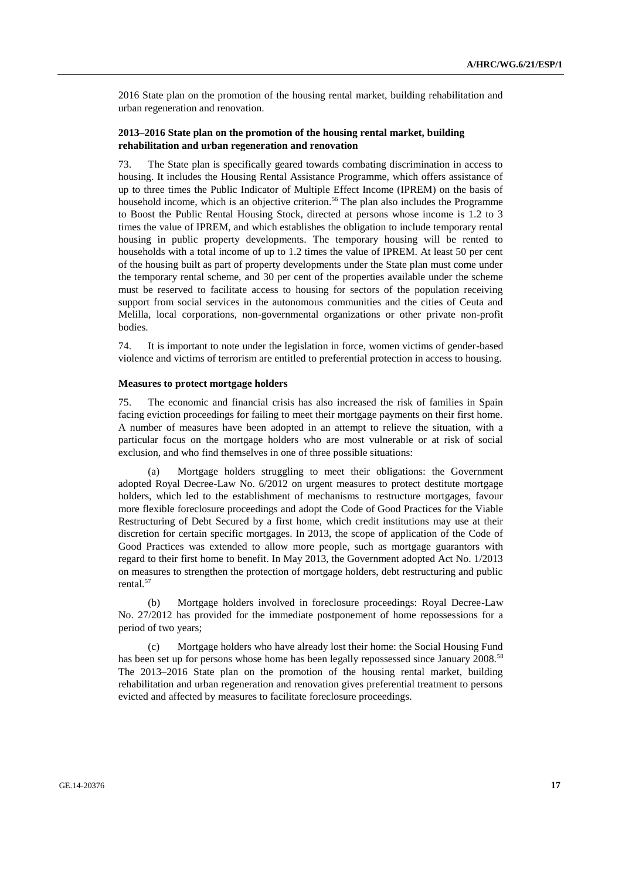2016 State plan on the promotion of the housing rental market, building rehabilitation and urban regeneration and renovation.

# **2013–2016 State plan on the promotion of the housing rental market, building rehabilitation and urban regeneration and renovation**

73. The State plan is specifically geared towards combating discrimination in access to housing. It includes the Housing Rental Assistance Programme, which offers assistance of up to three times the Public Indicator of Multiple Effect Income (IPREM) on the basis of household income, which is an objective criterion.<sup>56</sup> The plan also includes the Programme to Boost the Public Rental Housing Stock, directed at persons whose income is 1.2 to 3 times the value of IPREM, and which establishes the obligation to include temporary rental housing in public property developments. The temporary housing will be rented to households with a total income of up to 1.2 times the value of IPREM. At least 50 per cent of the housing built as part of property developments under the State plan must come under the temporary rental scheme, and 30 per cent of the properties available under the scheme must be reserved to facilitate access to housing for sectors of the population receiving support from social services in the autonomous communities and the cities of Ceuta and Melilla, local corporations, non-governmental organizations or other private non-profit bodies.

74. It is important to note under the legislation in force, women victims of gender-based violence and victims of terrorism are entitled to preferential protection in access to housing.

### **Measures to protect mortgage holders**

75. The economic and financial crisis has also increased the risk of families in Spain facing eviction proceedings for failing to meet their mortgage payments on their first home. A number of measures have been adopted in an attempt to relieve the situation, with a particular focus on the mortgage holders who are most vulnerable or at risk of social exclusion, and who find themselves in one of three possible situations:

(a) Mortgage holders struggling to meet their obligations: the Government adopted Royal Decree-Law No. 6/2012 on urgent measures to protect destitute mortgage holders, which led to the establishment of mechanisms to restructure mortgages, favour more flexible foreclosure proceedings and adopt the Code of Good Practices for the Viable Restructuring of Debt Secured by a first home, which credit institutions may use at their discretion for certain specific mortgages. In 2013, the scope of application of the Code of Good Practices was extended to allow more people, such as mortgage guarantors with regard to their first home to benefit. In May 2013, the Government adopted Act No. 1/2013 on measures to strengthen the protection of mortgage holders, debt restructuring and public rental.<sup>57</sup>

(b) Mortgage holders involved in foreclosure proceedings: Royal Decree-Law No. 27/2012 has provided for the immediate postponement of home repossessions for a period of two years;

(c) Mortgage holders who have already lost their home: the Social Housing Fund has been set up for persons whose home has been legally repossessed since January 2008.<sup>58</sup> The 2013–2016 State plan on the promotion of the housing rental market, building rehabilitation and urban regeneration and renovation gives preferential treatment to persons evicted and affected by measures to facilitate foreclosure proceedings.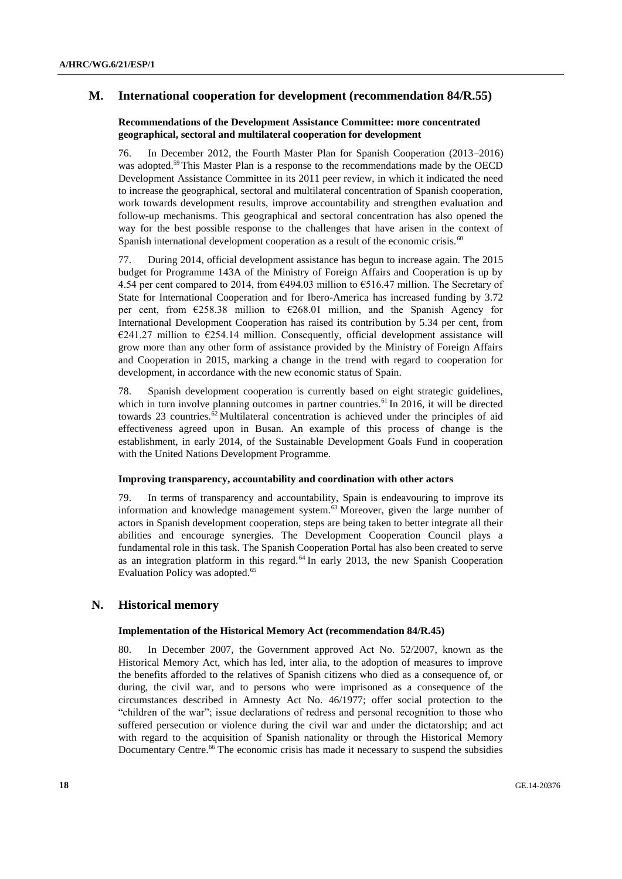# **M. International cooperation for development (recommendation 84/R.55)**

# **Recommendations of the Development Assistance Committee: more concentrated geographical, sectoral and multilateral cooperation for development**

76. In December 2012, the Fourth Master Plan for Spanish Cooperation (2013–2016) was adopted.<sup>59</sup> This Master Plan is a response to the recommendations made by the OECD Development Assistance Committee in its 2011 peer review, in which it indicated the need to increase the geographical, sectoral and multilateral concentration of Spanish cooperation, work towards development results, improve accountability and strengthen evaluation and follow-up mechanisms. This geographical and sectoral concentration has also opened the way for the best possible response to the challenges that have arisen in the context of Spanish international development cooperation as a result of the economic crisis.<sup>60</sup>

77. During 2014, official development assistance has begun to increase again. The 2015 budget for Programme 143A of the Ministry of Foreign Affairs and Cooperation is up by 4.54 per cent compared to 2014, from €494.03 million to €516.47 million. The Secretary of State for International Cooperation and for Ibero-America has increased funding by 3.72 per cent, from  $\epsilon$ 258.38 million to  $\epsilon$ 268.01 million, and the Spanish Agency for International Development Cooperation has raised its contribution by 5.34 per cent, from  $E241.27$  million to  $E254.14$  million. Consequently, official development assistance will grow more than any other form of assistance provided by the Ministry of Foreign Affairs and Cooperation in 2015, marking a change in the trend with regard to cooperation for development, in accordance with the new economic status of Spain.

78. Spanish development cooperation is currently based on eight strategic guidelines, which in turn involve planning outcomes in partner countries.<sup>61</sup> In 2016, it will be directed towards 23 countries.<sup>62</sup> Multilateral concentration is achieved under the principles of aid effectiveness agreed upon in Busan. An example of this process of change is the establishment, in early 2014, of the Sustainable Development Goals Fund in cooperation with the United Nations Development Programme.

# **Improving transparency, accountability and coordination with other actors**

79. In terms of transparency and accountability, Spain is endeavouring to improve its information and knowledge management system.<sup>63</sup> Moreover, given the large number of actors in Spanish development cooperation, steps are being taken to better integrate all their abilities and encourage synergies. The Development Cooperation Council plays a fundamental role in this task. The Spanish Cooperation Portal has also been created to serve as an integration platform in this regard.<sup>64</sup> In early 2013, the new Spanish Cooperation Evaluation Policy was adopted.<sup>65</sup>

# **N. Historical memory**

#### **Implementation of the Historical Memory Act (recommendation 84/R.45)**

80. In December 2007, the Government approved Act No. 52/2007, known as the Historical Memory Act, which has led, inter alia, to the adoption of measures to improve the benefits afforded to the relatives of Spanish citizens who died as a consequence of, or during, the civil war, and to persons who were imprisoned as a consequence of the circumstances described in Amnesty Act No. 46/1977; offer social protection to the "children of the war"; issue declarations of redress and personal recognition to those who suffered persecution or violence during the civil war and under the dictatorship; and act with regard to the acquisition of Spanish nationality or through the Historical Memory Documentary Centre.<sup>66</sup> The economic crisis has made it necessary to suspend the subsidies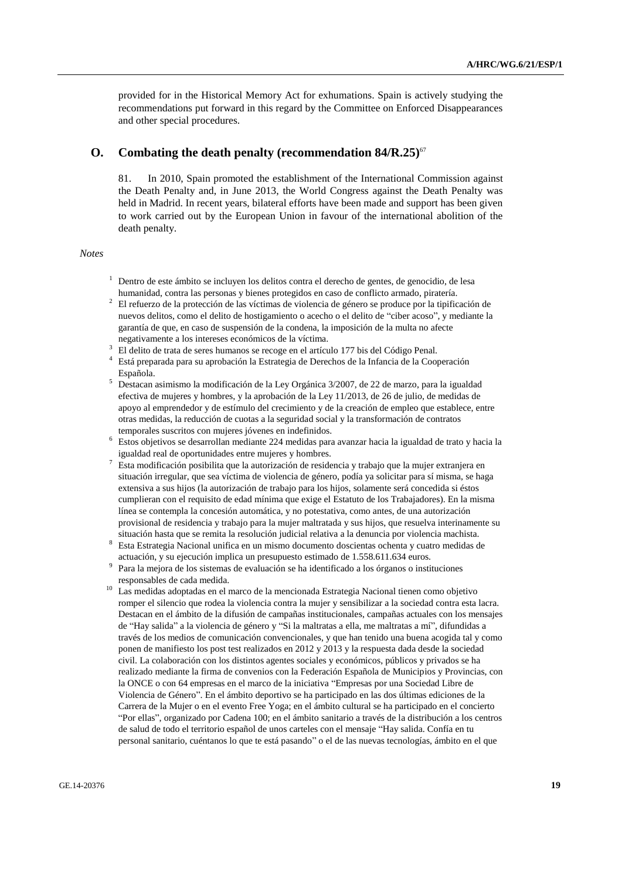provided for in the Historical Memory Act for exhumations. Spain is actively studying the recommendations put forward in this regard by the Committee on Enforced Disappearances and other special procedures.

# **O. Combating the death penalty (recommendation 84/R.25)**<sup>67</sup>

81. In 2010, Spain promoted the establishment of the International Commission against the Death Penalty and, in June 2013, the World Congress against the Death Penalty was held in Madrid. In recent years, bilateral efforts have been made and support has been given to work carried out by the European Union in favour of the international abolition of the death penalty.

#### *Notes*

- <sup>1</sup> Dentro de este ámbito se incluyen los delitos contra el derecho de gentes, de genocidio, de lesa humanidad, contra las personas y bienes protegidos en caso de conflicto armado, piratería.
- <sup>2</sup> El refuerzo de la protección de las víctimas de violencia de género se produce por la tipificación de nuevos delitos, como el delito de hostigamiento o acecho o el delito de "ciber acoso", y mediante la garantía de que, en caso de suspensión de la condena, la imposición de la multa no afecte negativamente a los intereses económicos de la víctima.
- <sup>3</sup> El delito de trata de seres humanos se recoge en el artículo 177 bis del Código Penal.
- <sup>4</sup> Está preparada para su aprobación la Estrategia de Derechos de la Infancia de la Cooperación Española.
- <sup>5</sup> Destacan asimismo la modificación de la Ley Orgánica 3/2007, de 22 de marzo, para la igualdad efectiva de mujeres y hombres, y la aprobación de la Ley 11/2013, de 26 de julio, de medidas de apoyo al emprendedor y de estímulo del crecimiento y de la creación de empleo que establece, entre otras medidas, la reducción de cuotas a la seguridad social y la transformación de contratos temporales suscritos con mujeres jóvenes en indefinidos.
- <sup>6</sup> Estos objetivos se desarrollan mediante 224 medidas para avanzar hacia la igualdad de trato y hacia la igualdad real de oportunidades entre mujeres y hombres.
- <sup>7</sup> Esta modificación posibilita que la autorización de residencia y trabajo que la mujer extranjera en situación irregular, que sea víctima de violencia de género, podía ya solicitar para sí misma, se haga extensiva a sus hijos (la autorización de trabajo para los hijos, solamente será concedida si éstos cumplieran con el requisito de edad mínima que exige el Estatuto de los Trabajadores). En la misma línea se contempla la concesión automática, y no potestativa, como antes, de una autorización provisional de residencia y trabajo para la mujer maltratada y sus hijos, que resuelva interinamente su situación hasta que se remita la resolución judicial relativa a la denuncia por violencia machista.
- <sup>8</sup> Esta Estrategia Nacional unifica en un mismo documento doscientas ochenta y cuatro medidas de actuación, y su ejecución implica un presupuesto estimado de 1.558.611.634 euros.
- 9 Para la mejora de los sistemas de evaluación se ha identificado a los órganos o instituciones responsables de cada medida.
- <sup>10</sup> Las medidas adoptadas en el marco de la mencionada Estrategia Nacional tienen como objetivo romper el silencio que rodea la violencia contra la mujer y sensibilizar a la sociedad contra esta lacra. Destacan en el ámbito de la difusión de campañas institucionales, campañas actuales con los mensajes de "Hay salida" a la violencia de género y "Si la maltratas a ella, me maltratas a mí", difundidas a través de los medios de comunicación convencionales, y que han tenido una buena acogida tal y como ponen de manifiesto los post test realizados en 2012 y 2013 y la respuesta dada desde la sociedad civil. La colaboración con los distintos agentes sociales y económicos, públicos y privados se ha realizado mediante la firma de convenios con la Federación Española de Municipios y Provincias, con la ONCE o con 64 empresas en el marco de la iniciativa "Empresas por una Sociedad Libre de Violencia de Género". En el ámbito deportivo se ha participado en las dos últimas ediciones de la Carrera de la Mujer o en el evento Free Yoga; en el ámbito cultural se ha participado en el concierto "Por ellas", organizado por Cadena 100; en el ámbito sanitario a través de la distribución a los centros de salud de todo el territorio español de unos carteles con el mensaje "Hay salida. Confía en tu personal sanitario, cuéntanos lo que te está pasando" o el de las nuevas tecnologías, ámbito en el que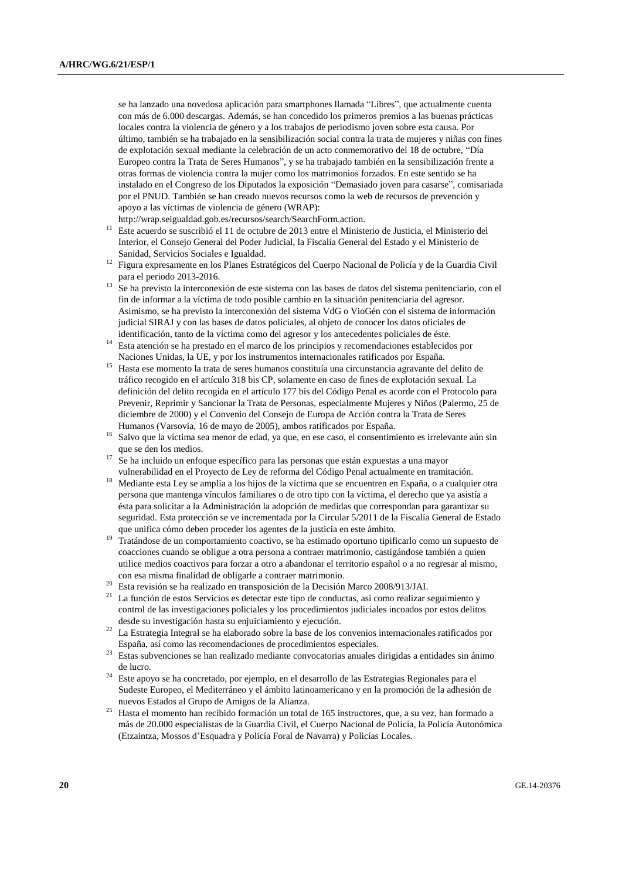se ha lanzado una novedosa aplicación para smartphones llamada "Libres", que actualmente cuenta con más de 6.000 descargas. Además, se han concedido los primeros premios a las buenas prácticas locales contra la violencia de género y a los trabajos de periodismo joven sobre esta causa. Por último, también se ha trabajado en la sensibilización social contra la trata de mujeres y niñas con fines de explotación sexual mediante la celebración de un acto conmemorativo del 18 de octubre, "Día Europeo contra la Trata de Seres Humanos", y se ha trabajado también en la sensibilización frente a otras formas de violencia contra la mujer como los matrimonios forzados. En este sentido se ha instalado en el Congreso de los Diputados la exposición "Demasiado joven para casarse", comisariada por el PNUD. También se han creado nuevos recursos como la web de recursos de prevención y apoyo a las víctimas de violencia de género (WRAP):

[http://wrap.seigualdad.gob.es/recursos/search/SearchForm.action.](http://wrap.seigualdad.gob.es/recursos/search/SearchForm.action)

- <sup>11</sup> Este acuerdo se suscribió el 11 de octubre de 2013 entre el Ministerio de Justicia, el Ministerio del Interior, el Consejo General del Poder Judicial, la Fiscalía General del Estado y el Ministerio de Sanidad, Servicios Sociales e Igualdad.
- <sup>12</sup> Figura expresamente en los Planes Estratégicos del Cuerpo Nacional de Policía y de la Guardia Civil para el periodo 2013-2016.
- <sup>13</sup> Se ha previsto la interconexión de este sistema con las bases de datos del sistema penitenciario, con el fin de informar a la víctima de todo posible cambio en la situación penitenciaria del agresor. Asimismo, se ha previsto la interconexión del sistema VdG o VioGén con el sistema de información judicial SIRAJ y con las bases de datos policiales, al objeto de conocer los datos oficiales de identificación, tanto de la víctima como del agresor y los antecedentes policiales de éste.
- <sup>14</sup> Esta atención se ha prestado en el marco de los principios y recomendaciones establecidos por Naciones Unidas, la UE, y por los instrumentos internacionales ratificados por España.
- <sup>15</sup> Hasta ese momento la trata de seres humanos constituía una circunstancia agravante del delito de tráfico recogido en el artículo 318 bis CP, solamente en caso de fines de explotación sexual. La definición del delito recogida en el artículo 177 bis del Código Penal es acorde con el Protocolo para Prevenir, Reprimir y Sancionar la Trata de Personas, especialmente Mujeres y Niños (Palermo, 25 de diciembre de 2000) y el Convenio del Consejo de Europa de Acción contra la Trata de Seres Humanos (Varsovia, 16 de mayo de 2005), ambos ratificados por España.
- <sup>16</sup> Salvo que la víctima sea menor de edad, ya que, en ese caso, el consentimiento es irrelevante aún sin que se den los medios.
- $17 \text{ Se}$  ha incluido un enfoque específico para las personas que están expuestas a una mayor vulnerabilidad en el Proyecto de Ley de reforma del Código Penal actualmente en tramitación.
- <sup>18</sup> Mediante esta Ley se amplía a los hijos de la víctima que se encuentren en España, o a cualquier otra persona que mantenga vínculos familiares o de otro tipo con la víctima, el derecho que ya asistía a ésta para solicitar a la Administración la adopción de medidas que correspondan para garantizar su seguridad. Esta protección se ve incrementada por la Circular 5/2011 de la Fiscalía General de Estado que unifica cómo deben proceder los agentes de la justicia en este ámbito.
- <sup>19</sup> Tratándose de un comportamiento coactivo, se ha estimado oportuno tipificarlo como un supuesto de coacciones cuando se obligue a otra persona a contraer matrimonio, castigándose también a quien utilice medios coactivos para forzar a otro a abandonar el territorio español o a no regresar al mismo, con esa misma finalidad de obligarle a contraer matrimonio.
- <sup>20</sup> Esta revisión se ha realizado en transposición de la Decisión Marco 2008/913/JAI.
- $21$  La función de estos Servicios es detectar este tipo de conductas, así como realizar seguimiento y control de las investigaciones policiales y los procedimientos judiciales incoados por estos delitos desde su investigación hasta su enjuiciamiento y ejecución.
- <sup>22</sup> La Estrategia Integral se ha elaborado sobre la base de los convenios internacionales ratificados por España, así como las recomendaciones de procedimientos especiales.
- <sup>23</sup> Estas subvenciones se han realizado mediante convocatorias anuales dirigidas a entidades sin ánimo de lucro.
- <sup>24</sup> Este apoyo se ha concretado, por ejemplo, en el desarrollo de las Estrategias Regionales para el Sudeste Europeo, el Mediterráneo y el ámbito latinoamericano y en la promoción de la adhesión de nuevos Estados al Grupo de Amigos de la Alianza.
- <sup>25</sup> Hasta el momento han recibido formación un total de 165 instructores, que, a su vez, han formado a más de 20.000 especialistas de la Guardia Civil, el Cuerpo Nacional de Policía, la Policía Autonómica (Etzaintza, Mossos d'Esquadra y Policía Foral de Navarra) y Policías Locales.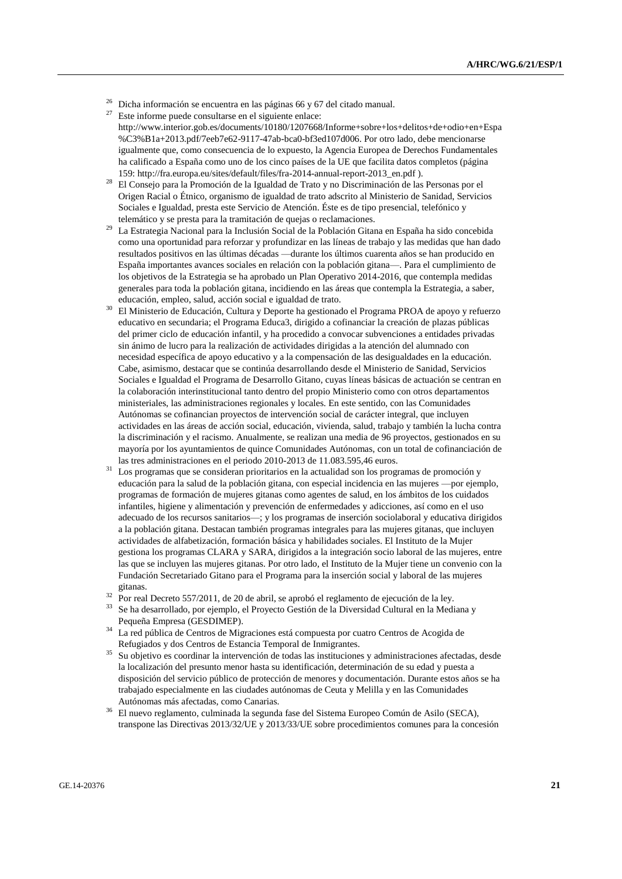- $26$  Dicha información se encuentra en las páginas 66 y 67 del citado manual.
- $27$  Este informe puede consultarse en el siguiente enlace: [http://www.interior.gob.es/documents/10180/1207668/Informe+sobre+los+delitos+de+odio+en+Espa](http://www.interior.gob.es/documents/10180/1207668/Informe+sobre+los+delitos+de+odio+en+Espa%C3%B1a+2013.pdf/7eeb7e62-9117-47ab-bca0-bf3ed107d006) [%C3%B1a+2013.pdf/7eeb7e62-9117-47ab-bca0-bf3ed107d006.](http://www.interior.gob.es/documents/10180/1207668/Informe+sobre+los+delitos+de+odio+en+Espa%C3%B1a+2013.pdf/7eeb7e62-9117-47ab-bca0-bf3ed107d006) Por otro lado, debe mencionarse igualmente que, como consecuencia de lo expuesto, la Agencia Europea de Derechos Fundamentales ha calificado a España como uno de los cinco países de la UE que facilita datos completos (página 159[: http://fra.europa.eu/sites/default/files/fra-2014-annual-report-2013\\_en.pdf](http://fra.europa.eu/sites/default/files/fra-2014-annual-report-2013_en.pdf) ).
- <sup>28</sup> El Consejo para la Promoción de la Igualdad de Trato y no Discriminación de las Personas por el Origen Racial o Étnico, organismo de igualdad de trato adscrito al Ministerio de Sanidad, Servicios Sociales e Igualdad, presta este Servicio de Atención. Éste es de tipo presencial, telefónico y telemático y se presta para la tramitación de quejas o reclamaciones.
- <sup>29</sup> La Estrategia Nacional para la Inclusión Social de la Población Gitana en España ha sido concebida como una oportunidad para reforzar y profundizar en las líneas de trabajo y las medidas que han dado resultados positivos en las últimas décadas —durante los últimos cuarenta años se han producido en España importantes avances sociales en relación con la población gitana—. Para el cumplimiento de los objetivos de la Estrategia se ha aprobado un Plan Operativo 2014-2016, que contempla medidas generales para toda la población gitana, incidiendo en las áreas que contempla la Estrategia, a saber, educación, empleo, salud, acción social e igualdad de trato.
- <sup>30</sup> El Ministerio de Educación, Cultura y Deporte ha gestionado el Programa PROA de apoyo y refuerzo educativo en secundaria; el Programa Educa3, dirigido a cofinanciar la creación de plazas públicas del primer ciclo de educación infantil, y ha procedido a convocar subvenciones a entidades privadas sin ánimo de lucro para la realización de actividades dirigidas a la atención del alumnado con necesidad específica de apoyo educativo y a la compensación de las desigualdades en la educación. Cabe, asimismo, destacar que se continúa desarrollando desde el Ministerio de Sanidad, Servicios Sociales e Igualdad el Programa de Desarrollo Gitano, cuyas líneas básicas de actuación se centran en la colaboración interinstitucional tanto dentro del propio Ministerio como con otros departamentos ministeriales, las administraciones regionales y locales. En este sentido, con las Comunidades Autónomas se cofinancian proyectos de intervención social de carácter integral, que incluyen actividades en las áreas de acción social, educación, vivienda, salud, trabajo y también la lucha contra la discriminación y el racismo. Anualmente, se realizan una media de 96 proyectos, gestionados en su mayoría por los ayuntamientos de quince Comunidades Autónomas, con un total de cofinanciación de las tres administraciones en el periodo 2010-2013 de 11.083.595,46 euros.
- <sup>31</sup> Los programas que se consideran prioritarios en la actualidad son los programas de promoción y educación para la salud de la población gitana, con especial incidencia en las mujeres —por ejemplo, programas de formación de mujeres gitanas como agentes de salud, en los ámbitos de los cuidados infantiles, higiene y alimentación y prevención de enfermedades y adicciones, así como en el uso adecuado de los recursos sanitarios—; y los programas de inserción sociolaboral y educativa dirigidos a la población gitana. Destacan también programas integrales para las mujeres gitanas, que incluyen actividades de alfabetización, formación básica y habilidades sociales. El Instituto de la Mujer gestiona los programas CLARA y SARA, dirigidos a la integración socio laboral de las mujeres, entre las que se incluyen las mujeres gitanas. Por otro lado, el Instituto de la Mujer tiene un convenio con la Fundación Secretariado Gitano para el Programa para la inserción social y laboral de las mujeres gitanas.
- <sup>32</sup> Por real Decreto 557/2011, de 20 de abril, se aprobó el reglamento de ejecución de la ley.
- <sup>33</sup> Se ha desarrollado, por ejemplo, el Proyecto Gestión de la Diversidad Cultural en la Mediana y Pequeña Empresa (GESDIMEP).
- <sup>34</sup> La red pública de Centros de Migraciones está compuesta por cuatro Centros de Acogida de Refugiados y dos Centros de Estancia Temporal de Inmigrantes.
- <sup>35</sup> Su objetivo es coordinar la intervención de todas las instituciones y administraciones afectadas, desde la localización del presunto menor hasta su identificación, determinación de su edad y puesta a disposición del servicio público de protección de menores y documentación. Durante estos años se ha trabajado especialmente en las ciudades autónomas de Ceuta y Melilla y en las Comunidades Autónomas más afectadas, como Canarias.
- <sup>36</sup> El nuevo reglamento, culminada la segunda fase del Sistema Europeo Común de Asilo (SECA), transpone las Directivas 2013/32/UE y 2013/33/UE sobre procedimientos comunes para la concesión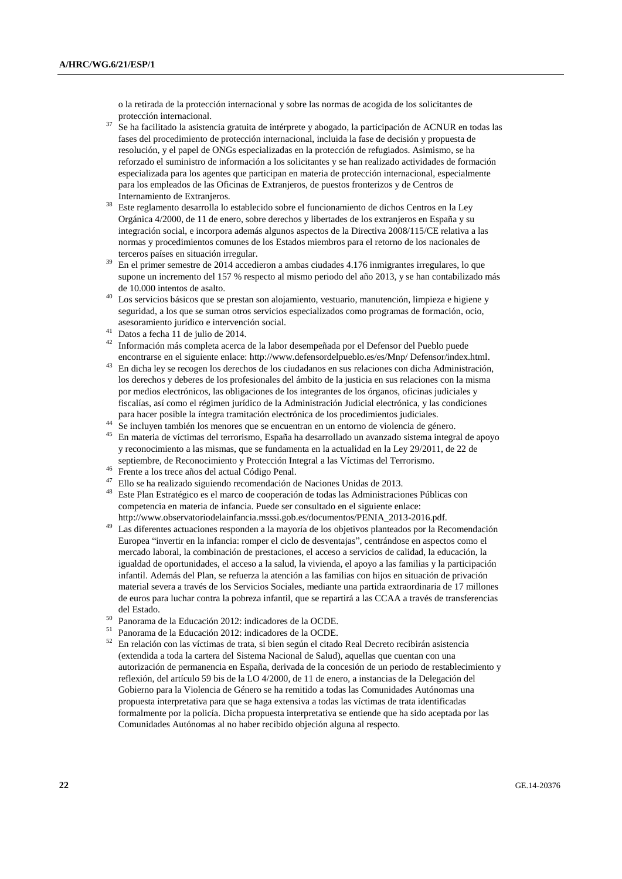o la retirada de la protección internacional y sobre las normas de acogida de los solicitantes de protección internacional.

- $37$  Se ha facilitado la asistencia gratuita de intérprete y abogado, la participación de ACNUR en todas las fases del procedimiento de protección internacional, incluida la fase de decisión y propuesta de resolución, y el papel de ONGs especializadas en la protección de refugiados. Asimismo, se ha reforzado el suministro de información a los solicitantes y se han realizado actividades de formación especializada para los agentes que participan en materia de protección internacional, especialmente para los empleados de las Oficinas de Extranjeros, de puestos fronterizos y de Centros de Internamiento de Extranjeros.
- <sup>38</sup> Este reglamento desarrolla lo establecido sobre el funcionamiento de dichos Centros en la Ley Orgánica 4/2000, de 11 de enero, sobre derechos y libertades de los extranjeros en España y su integración social, e incorpora además algunos aspectos de la Directiva 2008/115/CE relativa a las normas y procedimientos comunes de los Estados miembros para el retorno de los nacionales de terceros países en situación irregular.
- <sup>39</sup> En el primer semestre de 2014 accedieron a ambas ciudades 4.176 inmigrantes irregulares, lo que supone un incremento del 157 % respecto al mismo periodo del año 2013, y se han contabilizado más de 10.000 intentos de asalto.
- $40$  Los servicios básicos que se prestan son alojamiento, vestuario, manutención, limpieza e higiene y seguridad, a los que se suman otros servicios especializados como programas de formación, ocio, asesoramiento jurídico e intervención social.
- <sup>41</sup> Datos a fecha 11 de julio de 2014.
- <sup>42</sup> Información más completa acerca de la labor desempeñada por el Defensor del Pueblo puede encontrarse en el siguiente enlace: [http://www.defensordelpueblo.es/es/Mnp/ Defensor/index.html.](http://www.defensordelpueblo.es/es/Mnp/Defensor/index.html)
- <sup>43</sup> En dicha ley se recogen los derechos de los ciudadanos en sus relaciones con dicha Administración, los derechos y deberes de los profesionales del ámbito de la justicia en sus relaciones con la misma por medios electrónicos, las obligaciones de los integrantes de los órganos, oficinas judiciales y fiscalías, así como el régimen jurídico de la Administración Judicial electrónica, y las condiciones para hacer posible la íntegra tramitación electrónica de los procedimientos judiciales.
- <sup>44</sup> Se incluyen también los menores que se encuentran en un entorno de violencia de género.
- <sup>45</sup> En materia de víctimas del terrorismo, España ha desarrollado un avanzado sistema integral de apoyo y reconocimiento a las mismas, que se fundamenta en la actualidad en la Ley 29/2011, de 22 de septiembre, de Reconocimiento y Protección Integral a las Víctimas del Terrorismo.
- <sup>46</sup> Frente a los trece años del actual Código Penal.
- <sup>47</sup> Ello se ha realizado siguiendo recomendación de Naciones Unidas de 2013.
- <sup>48</sup> Este Plan Estratégico es el marco de cooperación de todas las Administraciones Públicas con competencia en materia de infancia. Puede ser consultado en el siguiente enlace: [http://www.observatoriodelainfancia.msssi.gob.es/documentos/PENIA\\_2013-2016.pdf.](http://www.observatoriodelainfancia.msssi.gob.es/documentos/PENIA_2013-2016.pdf)
- <sup>49</sup> Las diferentes actuaciones responden a la mayoría de los objetivos planteados por la Recomendación Europea "invertir en la infancia: romper el ciclo de desventajas", centrándose en aspectos como el mercado laboral, la combinación de prestaciones, el acceso a servicios de calidad, la educación, la igualdad de oportunidades, el acceso a la salud, la vivienda, el apoyo a las familias y la participación infantil. Además del Plan, se refuerza la atención a las familias con hijos en situación de privación material severa a través de los Servicios Sociales, mediante una partida extraordinaria de 17 millones de euros para luchar contra la pobreza infantil, que se repartirá a las CCAA a través de transferencias del Estado.
- <sup>50</sup> Panorama de la Educación 2012: indicadores de la OCDE.
- <sup>51</sup> Panorama de la Educación 2012: indicadores de la OCDE.
- <sup>52</sup> En relación con las víctimas de trata, si bien según el citado Real Decreto recibirán asistencia (extendida a toda la cartera del Sistema Nacional de Salud), aquellas que cuentan con una autorización de permanencia en España, derivada de la concesión de un periodo de restablecimiento y reflexión, del artículo 59 bis de la LO 4/2000, de 11 de enero, a instancias de la Delegación del Gobierno para la Violencia de Género se ha remitido a todas las Comunidades Autónomas una propuesta interpretativa para que se haga extensiva a todas las víctimas de trata identificadas formalmente por la policía. Dicha propuesta interpretativa se entiende que ha sido aceptada por las Comunidades Autónomas al no haber recibido objeción alguna al respecto.